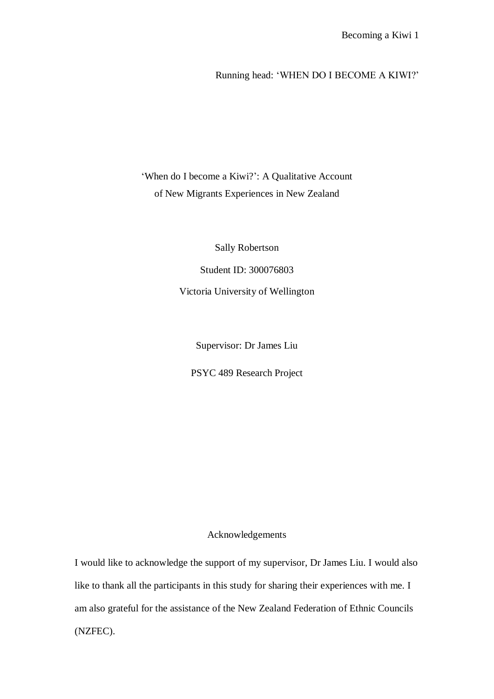# Running head: "WHEN DO I BECOME A KIWI?"

# 'When do I become a Kiwi?': A Qualitative Account of New Migrants Experiences in New Zealand

Sally Robertson

Student ID: 300076803

Victoria University of Wellington

Supervisor: Dr James Liu

PSYC 489 Research Project

# Acknowledgements

I would like to acknowledge the support of my supervisor, Dr James Liu. I would also like to thank all the participants in this study for sharing their experiences with me. I am also grateful for the assistance of the New Zealand Federation of Ethnic Councils (NZFEC).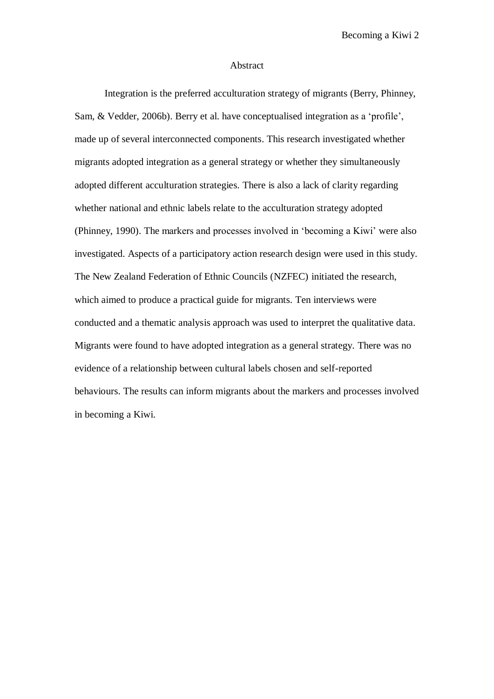#### Abstract

Integration is the preferred acculturation strategy of migrants (Berry, Phinney, Sam, & Vedder, 2006b). Berry et al. have conceptualised integration as a "profile", made up of several interconnected components. This research investigated whether migrants adopted integration as a general strategy or whether they simultaneously adopted different acculturation strategies. There is also a lack of clarity regarding whether national and ethnic labels relate to the acculturation strategy adopted (Phinney, 1990). The markers and processes involved in "becoming a Kiwi" were also investigated. Aspects of a participatory action research design were used in this study. The New Zealand Federation of Ethnic Councils (NZFEC) initiated the research, which aimed to produce a practical guide for migrants. Ten interviews were conducted and a thematic analysis approach was used to interpret the qualitative data. Migrants were found to have adopted integration as a general strategy. There was no evidence of a relationship between cultural labels chosen and self-reported behaviours. The results can inform migrants about the markers and processes involved in becoming a Kiwi.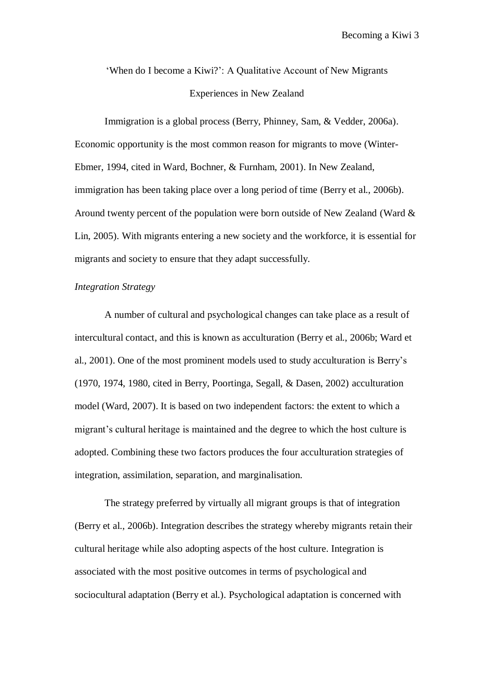"When do I become a Kiwi?": A Qualitative Account of New Migrants Experiences in New Zealand

Immigration is a global process (Berry, Phinney, Sam, & Vedder, 2006a). Economic opportunity is the most common reason for migrants to move (Winter-Ebmer, 1994, cited in Ward, Bochner, & Furnham, 2001). In New Zealand, immigration has been taking place over a long period of time (Berry et al., 2006b). Around twenty percent of the population were born outside of New Zealand (Ward & Lin, 2005). With migrants entering a new society and the workforce, it is essential for migrants and society to ensure that they adapt successfully.

# *Integration Strategy*

A number of cultural and psychological changes can take place as a result of intercultural contact, and this is known as acculturation (Berry et al., 2006b; Ward et al., 2001). One of the most prominent models used to study acculturation is Berry"s (1970, 1974, 1980, cited in Berry, Poortinga, Segall, & Dasen, 2002) acculturation model (Ward, 2007). It is based on two independent factors: the extent to which a migrant's cultural heritage is maintained and the degree to which the host culture is adopted. Combining these two factors produces the four acculturation strategies of integration, assimilation, separation, and marginalisation.

The strategy preferred by virtually all migrant groups is that of integration (Berry et al., 2006b). Integration describes the strategy whereby migrants retain their cultural heritage while also adopting aspects of the host culture. Integration is associated with the most positive outcomes in terms of psychological and sociocultural adaptation (Berry et al.). Psychological adaptation is concerned with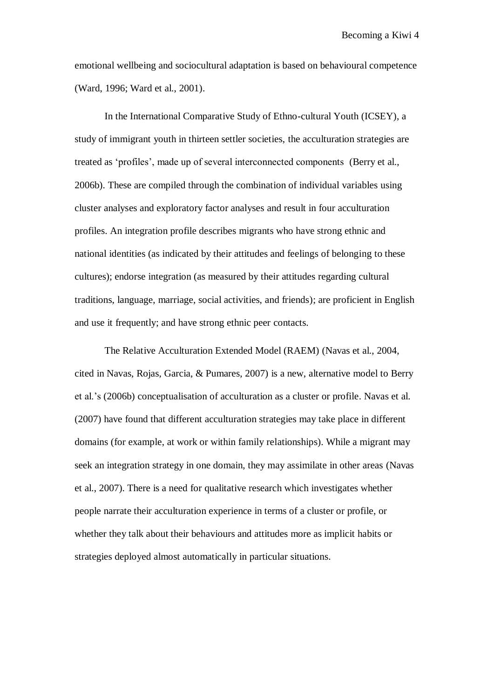emotional wellbeing and sociocultural adaptation is based on behavioural competence (Ward, 1996; Ward et al., 2001).

In the International Comparative Study of Ethno-cultural Youth (ICSEY), a study of immigrant youth in thirteen settler societies, the acculturation strategies are treated as "profiles", made up of several interconnected components (Berry et al., 2006b). These are compiled through the combination of individual variables using cluster analyses and exploratory factor analyses and result in four acculturation profiles. An integration profile describes migrants who have strong ethnic and national identities (as indicated by their attitudes and feelings of belonging to these cultures); endorse integration (as measured by their attitudes regarding cultural traditions, language, marriage, social activities, and friends); are proficient in English and use it frequently; and have strong ethnic peer contacts.

The Relative Acculturation Extended Model (RAEM) (Navas et al., 2004, cited in Navas, Rojas, Garcia, & Pumares, 2007) is a new, alternative model to Berry et al."s (2006b) conceptualisation of acculturation as a cluster or profile. Navas et al. (2007) have found that different acculturation strategies may take place in different domains (for example, at work or within family relationships). While a migrant may seek an integration strategy in one domain, they may assimilate in other areas (Navas et al., 2007). There is a need for qualitative research which investigates whether people narrate their acculturation experience in terms of a cluster or profile, or whether they talk about their behaviours and attitudes more as implicit habits or strategies deployed almost automatically in particular situations.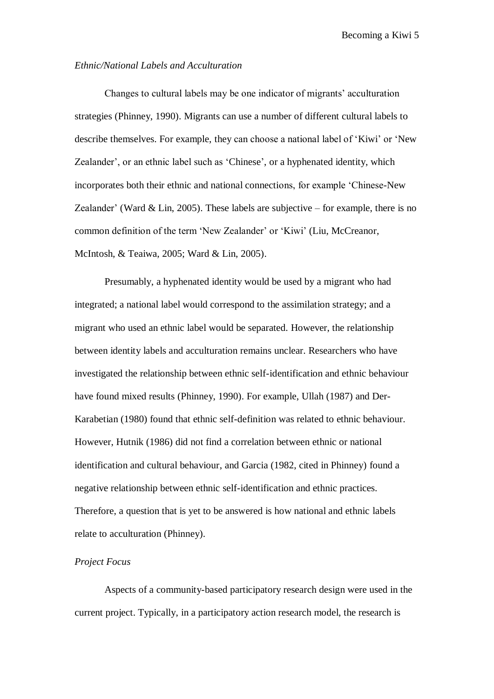## *Ethnic/National Labels and Acculturation*

Changes to cultural labels may be one indicator of migrants" acculturation strategies (Phinney, 1990). Migrants can use a number of different cultural labels to describe themselves. For example, they can choose a national label of "Kiwi" or "New Zealander', or an ethnic label such as 'Chinese', or a hyphenated identity, which incorporates both their ethnic and national connections, for example "Chinese-New Zealander' (Ward  $& Lin, 2005$ ). These labels are subjective – for example, there is no common definition of the term "New Zealander" or "Kiwi" (Liu, McCreanor, McIntosh, & Teaiwa, 2005; Ward & Lin, 2005).

Presumably, a hyphenated identity would be used by a migrant who had integrated; a national label would correspond to the assimilation strategy; and a migrant who used an ethnic label would be separated. However, the relationship between identity labels and acculturation remains unclear. Researchers who have investigated the relationship between ethnic self-identification and ethnic behaviour have found mixed results (Phinney, 1990). For example, Ullah (1987) and Der-Karabetian (1980) found that ethnic self-definition was related to ethnic behaviour. However, Hutnik (1986) did not find a correlation between ethnic or national identification and cultural behaviour, and Garcia (1982, cited in Phinney) found a negative relationship between ethnic self-identification and ethnic practices. Therefore, a question that is yet to be answered is how national and ethnic labels relate to acculturation (Phinney).

## *Project Focus*

Aspects of a community-based participatory research design were used in the current project. Typically, in a participatory action research model, the research is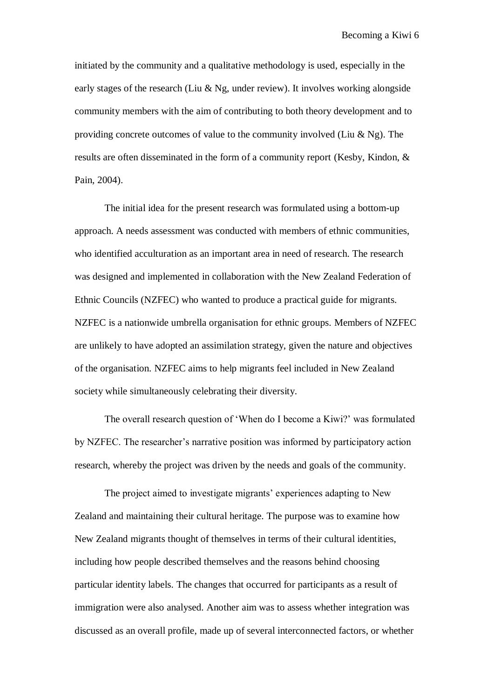initiated by the community and a qualitative methodology is used, especially in the early stages of the research (Liu & Ng, under review). It involves working alongside community members with the aim of contributing to both theory development and to providing concrete outcomes of value to the community involved (Liu  $\&$  Ng). The results are often disseminated in the form of a community report (Kesby, Kindon, & Pain, 2004).

The initial idea for the present research was formulated using a bottom-up approach. A needs assessment was conducted with members of ethnic communities, who identified acculturation as an important area in need of research. The research was designed and implemented in collaboration with the New Zealand Federation of Ethnic Councils (NZFEC) who wanted to produce a practical guide for migrants. NZFEC is a nationwide umbrella organisation for ethnic groups. Members of NZFEC are unlikely to have adopted an assimilation strategy, given the nature and objectives of the organisation. NZFEC aims to help migrants feel included in New Zealand society while simultaneously celebrating their diversity.

The overall research question of "When do I become a Kiwi?" was formulated by NZFEC. The researcher"s narrative position was informed by participatory action research, whereby the project was driven by the needs and goals of the community.

The project aimed to investigate migrants' experiences adapting to New Zealand and maintaining their cultural heritage. The purpose was to examine how New Zealand migrants thought of themselves in terms of their cultural identities, including how people described themselves and the reasons behind choosing particular identity labels. The changes that occurred for participants as a result of immigration were also analysed. Another aim was to assess whether integration was discussed as an overall profile, made up of several interconnected factors, or whether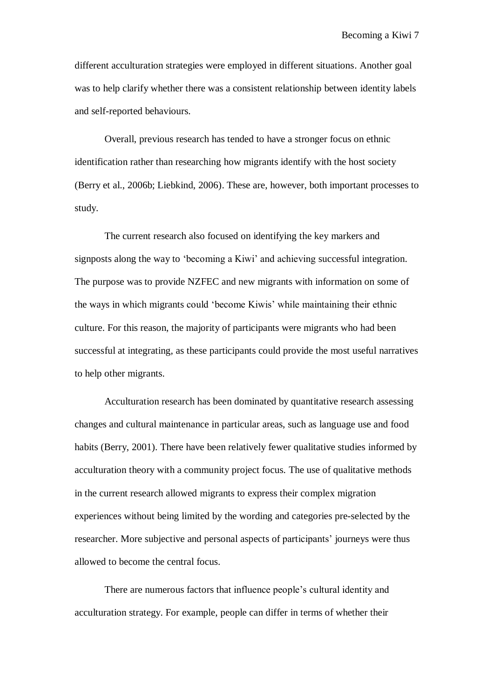different acculturation strategies were employed in different situations. Another goal was to help clarify whether there was a consistent relationship between identity labels and self-reported behaviours.

Overall, previous research has tended to have a stronger focus on ethnic identification rather than researching how migrants identify with the host society (Berry et al., 2006b; Liebkind, 2006). These are, however, both important processes to study.

The current research also focused on identifying the key markers and signposts along the way to "becoming a Kiwi" and achieving successful integration. The purpose was to provide NZFEC and new migrants with information on some of the ways in which migrants could "become Kiwis" while maintaining their ethnic culture. For this reason, the majority of participants were migrants who had been successful at integrating, as these participants could provide the most useful narratives to help other migrants.

Acculturation research has been dominated by quantitative research assessing changes and cultural maintenance in particular areas, such as language use and food habits (Berry, 2001). There have been relatively fewer qualitative studies informed by acculturation theory with a community project focus. The use of qualitative methods in the current research allowed migrants to express their complex migration experiences without being limited by the wording and categories pre-selected by the researcher. More subjective and personal aspects of participants" journeys were thus allowed to become the central focus.

There are numerous factors that influence people"s cultural identity and acculturation strategy. For example, people can differ in terms of whether their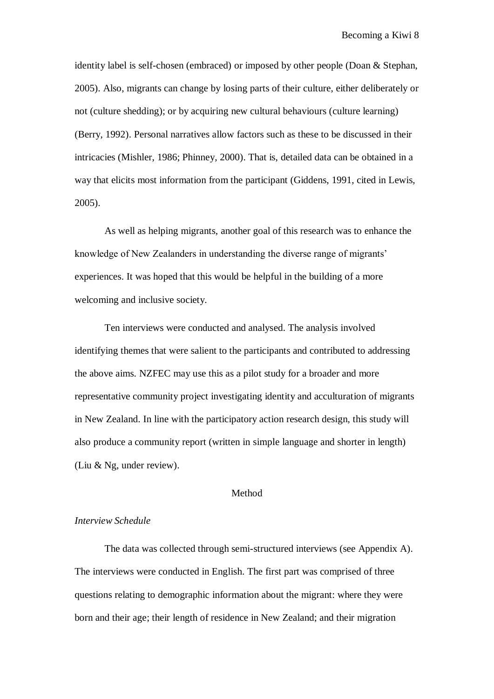identity label is self-chosen (embraced) or imposed by other people (Doan & Stephan, 2005). Also, migrants can change by losing parts of their culture, either deliberately or not (culture shedding); or by acquiring new cultural behaviours (culture learning) (Berry, 1992). Personal narratives allow factors such as these to be discussed in their intricacies (Mishler, 1986; Phinney, 2000). That is, detailed data can be obtained in a way that elicits most information from the participant (Giddens, 1991, cited in Lewis, 2005).

As well as helping migrants, another goal of this research was to enhance the knowledge of New Zealanders in understanding the diverse range of migrants" experiences. It was hoped that this would be helpful in the building of a more welcoming and inclusive society.

Ten interviews were conducted and analysed. The analysis involved identifying themes that were salient to the participants and contributed to addressing the above aims. NZFEC may use this as a pilot study for a broader and more representative community project investigating identity and acculturation of migrants in New Zealand. In line with the participatory action research design, this study will also produce a community report (written in simple language and shorter in length) (Liu & Ng, under review).

## Method

#### *Interview Schedule*

The data was collected through semi-structured interviews (see Appendix A). The interviews were conducted in English. The first part was comprised of three questions relating to demographic information about the migrant: where they were born and their age; their length of residence in New Zealand; and their migration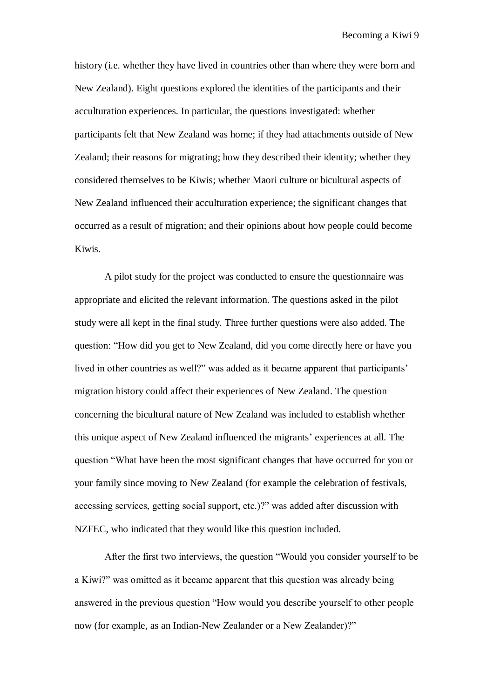history (i.e. whether they have lived in countries other than where they were born and New Zealand). Eight questions explored the identities of the participants and their acculturation experiences. In particular, the questions investigated: whether participants felt that New Zealand was home; if they had attachments outside of New Zealand; their reasons for migrating; how they described their identity; whether they considered themselves to be Kiwis; whether Maori culture or bicultural aspects of New Zealand influenced their acculturation experience; the significant changes that occurred as a result of migration; and their opinions about how people could become Kiwis.

A pilot study for the project was conducted to ensure the questionnaire was appropriate and elicited the relevant information. The questions asked in the pilot study were all kept in the final study. Three further questions were also added. The question: "How did you get to New Zealand, did you come directly here or have you lived in other countries as well?" was added as it became apparent that participants' migration history could affect their experiences of New Zealand. The question concerning the bicultural nature of New Zealand was included to establish whether this unique aspect of New Zealand influenced the migrants" experiences at all. The question "What have been the most significant changes that have occurred for you or your family since moving to New Zealand (for example the celebration of festivals, accessing services, getting social support, etc.)?" was added after discussion with NZFEC, who indicated that they would like this question included.

After the first two interviews, the question "Would you consider yourself to be a Kiwi?" was omitted as it became apparent that this question was already being answered in the previous question "How would you describe yourself to other people now (for example, as an Indian-New Zealander or a New Zealander)?"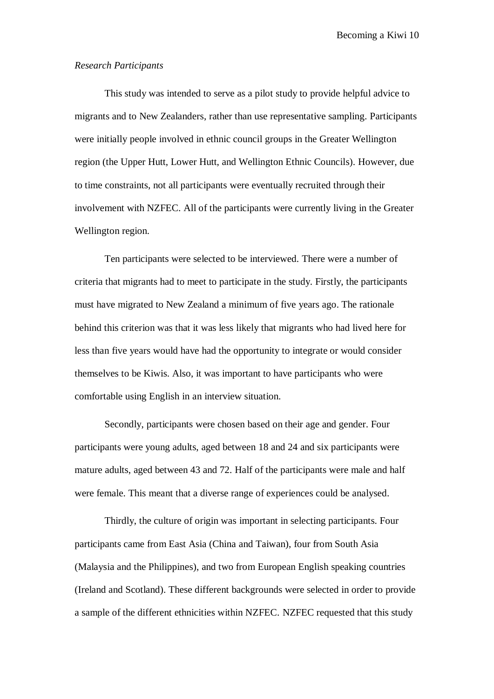## *Research Participants*

This study was intended to serve as a pilot study to provide helpful advice to migrants and to New Zealanders, rather than use representative sampling. Participants were initially people involved in ethnic council groups in the Greater Wellington region (the Upper Hutt, Lower Hutt, and Wellington Ethnic Councils). However, due to time constraints, not all participants were eventually recruited through their involvement with NZFEC. All of the participants were currently living in the Greater Wellington region.

Ten participants were selected to be interviewed. There were a number of criteria that migrants had to meet to participate in the study. Firstly, the participants must have migrated to New Zealand a minimum of five years ago. The rationale behind this criterion was that it was less likely that migrants who had lived here for less than five years would have had the opportunity to integrate or would consider themselves to be Kiwis. Also, it was important to have participants who were comfortable using English in an interview situation.

Secondly, participants were chosen based on their age and gender. Four participants were young adults, aged between 18 and 24 and six participants were mature adults, aged between 43 and 72. Half of the participants were male and half were female. This meant that a diverse range of experiences could be analysed.

Thirdly, the culture of origin was important in selecting participants. Four participants came from East Asia (China and Taiwan), four from South Asia (Malaysia and the Philippines), and two from European English speaking countries (Ireland and Scotland). These different backgrounds were selected in order to provide a sample of the different ethnicities within NZFEC. NZFEC requested that this study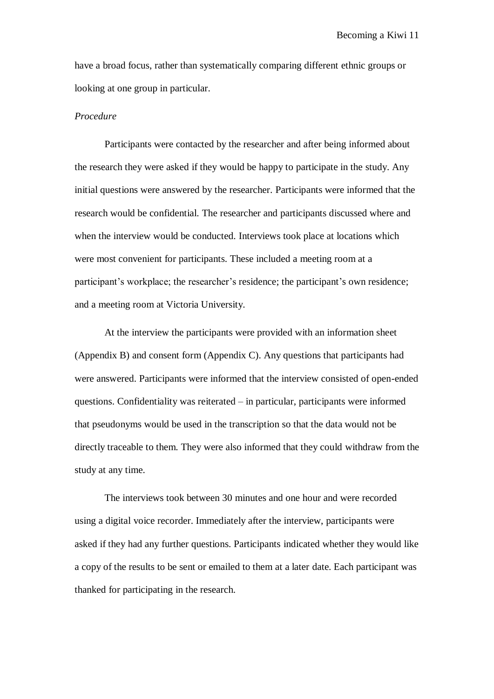have a broad focus, rather than systematically comparing different ethnic groups or looking at one group in particular.

## *Procedure*

Participants were contacted by the researcher and after being informed about the research they were asked if they would be happy to participate in the study. Any initial questions were answered by the researcher. Participants were informed that the research would be confidential. The researcher and participants discussed where and when the interview would be conducted. Interviews took place at locations which were most convenient for participants. These included a meeting room at a participant"s workplace; the researcher"s residence; the participant"s own residence; and a meeting room at Victoria University.

At the interview the participants were provided with an information sheet (Appendix B) and consent form (Appendix C). Any questions that participants had were answered. Participants were informed that the interview consisted of open-ended questions. Confidentiality was reiterated – in particular, participants were informed that pseudonyms would be used in the transcription so that the data would not be directly traceable to them. They were also informed that they could withdraw from the study at any time.

The interviews took between 30 minutes and one hour and were recorded using a digital voice recorder. Immediately after the interview, participants were asked if they had any further questions. Participants indicated whether they would like a copy of the results to be sent or emailed to them at a later date. Each participant was thanked for participating in the research.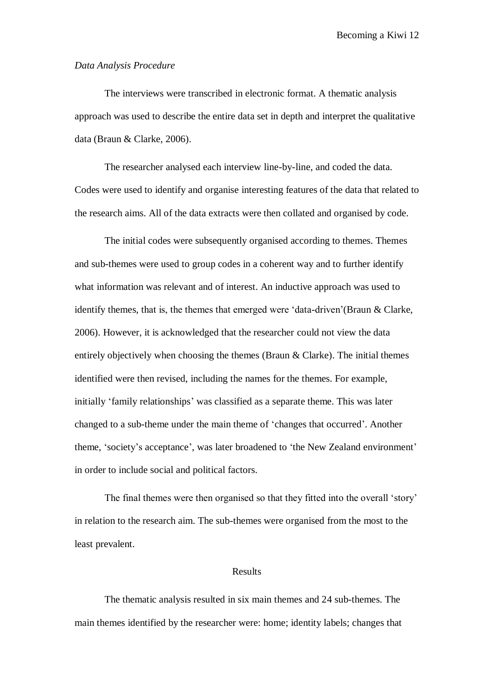## *Data Analysis Procedure*

The interviews were transcribed in electronic format. A thematic analysis approach was used to describe the entire data set in depth and interpret the qualitative data (Braun & Clarke, 2006).

The researcher analysed each interview line-by-line, and coded the data. Codes were used to identify and organise interesting features of the data that related to the research aims. All of the data extracts were then collated and organised by code.

The initial codes were subsequently organised according to themes. Themes and sub-themes were used to group codes in a coherent way and to further identify what information was relevant and of interest. An inductive approach was used to identify themes, that is, the themes that emerged were 'data-driven' (Braun  $\&$  Clarke, 2006). However, it is acknowledged that the researcher could not view the data entirely objectively when choosing the themes (Braun & Clarke). The initial themes identified were then revised, including the names for the themes. For example, initially 'family relationships' was classified as a separate theme. This was later changed to a sub-theme under the main theme of "changes that occurred". Another theme, 'society's acceptance', was later broadened to 'the New Zealand environment' in order to include social and political factors.

The final themes were then organised so that they fitted into the overall "story" in relation to the research aim. The sub-themes were organised from the most to the least prevalent.

#### Results

The thematic analysis resulted in six main themes and 24 sub-themes. The main themes identified by the researcher were: home; identity labels; changes that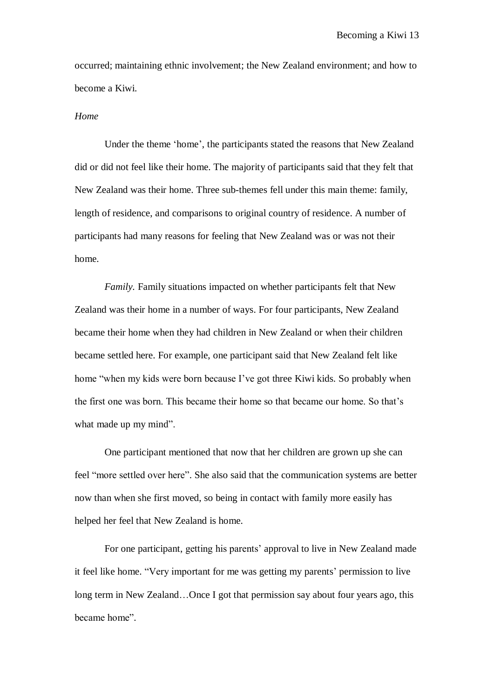occurred; maintaining ethnic involvement; the New Zealand environment; and how to become a Kiwi.

### *Home*

Under the theme "home", the participants stated the reasons that New Zealand did or did not feel like their home. The majority of participants said that they felt that New Zealand was their home. Three sub-themes fell under this main theme: family, length of residence, and comparisons to original country of residence. A number of participants had many reasons for feeling that New Zealand was or was not their home.

*Family.* Family situations impacted on whether participants felt that New Zealand was their home in a number of ways. For four participants, New Zealand became their home when they had children in New Zealand or when their children became settled here. For example, one participant said that New Zealand felt like home "when my kids were born because I've got three Kiwi kids. So probably when the first one was born. This became their home so that became our home. So that"s what made up my mind".

One participant mentioned that now that her children are grown up she can feel "more settled over here". She also said that the communication systems are better now than when she first moved, so being in contact with family more easily has helped her feel that New Zealand is home.

For one participant, getting his parents' approval to live in New Zealand made it feel like home. "Very important for me was getting my parents' permission to live long term in New Zealand…Once I got that permission say about four years ago, this became home".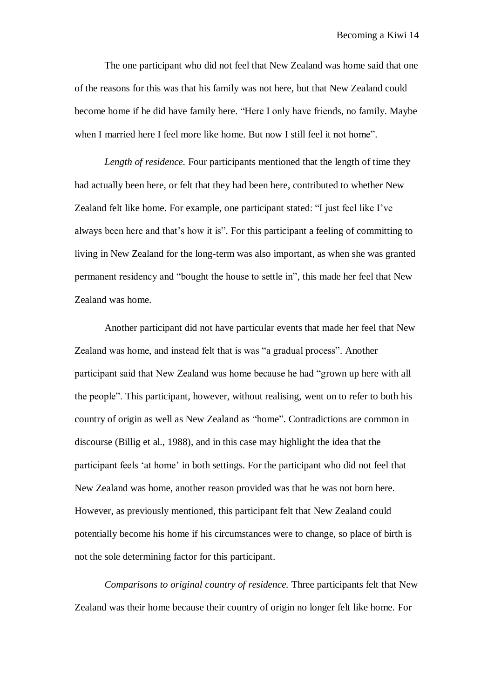The one participant who did not feel that New Zealand was home said that one of the reasons for this was that his family was not here, but that New Zealand could become home if he did have family here. "Here I only have friends, no family. Maybe when I married here I feel more like home. But now I still feel it not home".

*Length of residence.* Four participants mentioned that the length of time they had actually been here, or felt that they had been here, contributed to whether New Zealand felt like home. For example, one participant stated: "I just feel like I"ve always been here and that"s how it is". For this participant a feeling of committing to living in New Zealand for the long-term was also important, as when she was granted permanent residency and "bought the house to settle in", this made her feel that New Zealand was home.

Another participant did not have particular events that made her feel that New Zealand was home, and instead felt that is was "a gradual process". Another participant said that New Zealand was home because he had "grown up here with all the people". This participant, however, without realising, went on to refer to both his country of origin as well as New Zealand as "home". Contradictions are common in discourse (Billig et al., 1988), and in this case may highlight the idea that the participant feels "at home" in both settings. For the participant who did not feel that New Zealand was home, another reason provided was that he was not born here. However, as previously mentioned, this participant felt that New Zealand could potentially become his home if his circumstances were to change, so place of birth is not the sole determining factor for this participant.

*Comparisons to original country of residence.* Three participants felt that New Zealand was their home because their country of origin no longer felt like home. For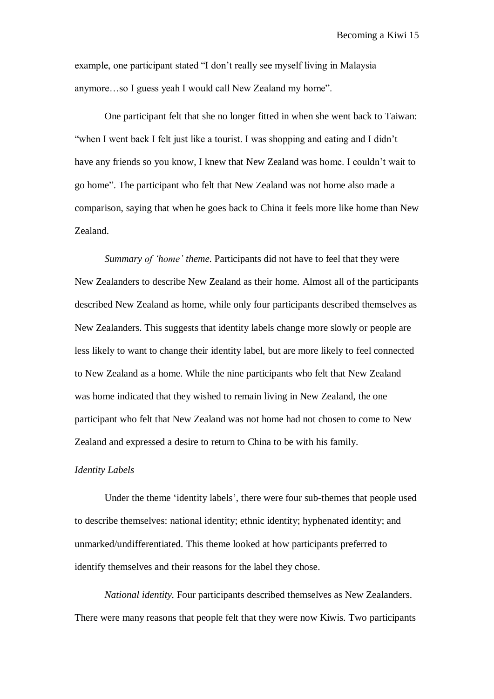example, one participant stated "I don"t really see myself living in Malaysia anymore…so I guess yeah I would call New Zealand my home".

One participant felt that she no longer fitted in when she went back to Taiwan: "when I went back I felt just like a tourist. I was shopping and eating and I didn"t have any friends so you know, I knew that New Zealand was home. I couldn"t wait to go home". The participant who felt that New Zealand was not home also made a comparison, saying that when he goes back to China it feels more like home than New Zealand.

*Summary of 'home' theme.* Participants did not have to feel that they were New Zealanders to describe New Zealand as their home. Almost all of the participants described New Zealand as home, while only four participants described themselves as New Zealanders. This suggests that identity labels change more slowly or people are less likely to want to change their identity label, but are more likely to feel connected to New Zealand as a home. While the nine participants who felt that New Zealand was home indicated that they wished to remain living in New Zealand, the one participant who felt that New Zealand was not home had not chosen to come to New Zealand and expressed a desire to return to China to be with his family.

## *Identity Labels*

Under the theme "identity labels", there were four sub-themes that people used to describe themselves: national identity; ethnic identity; hyphenated identity; and unmarked/undifferentiated. This theme looked at how participants preferred to identify themselves and their reasons for the label they chose.

*National identity.* Four participants described themselves as New Zealanders. There were many reasons that people felt that they were now Kiwis. Two participants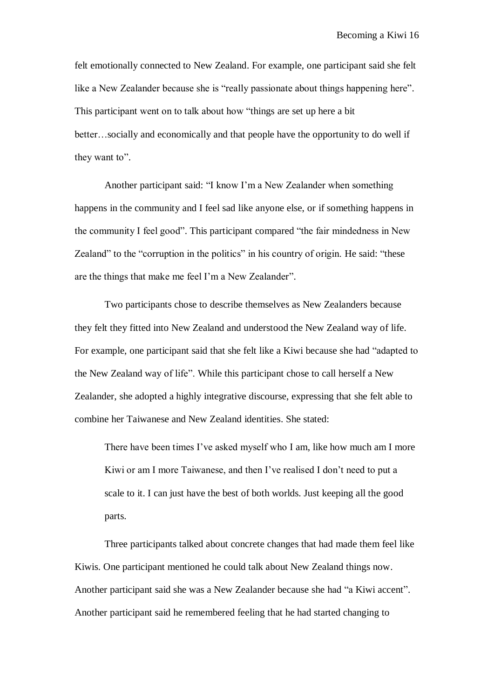felt emotionally connected to New Zealand. For example, one participant said she felt like a New Zealander because she is "really passionate about things happening here". This participant went on to talk about how "things are set up here a bit better…socially and economically and that people have the opportunity to do well if they want to".

Another participant said: "I know I"m a New Zealander when something happens in the community and I feel sad like anyone else, or if something happens in the community I feel good". This participant compared "the fair mindedness in New Zealand" to the "corruption in the politics" in his country of origin. He said: "these are the things that make me feel I"m a New Zealander".

Two participants chose to describe themselves as New Zealanders because they felt they fitted into New Zealand and understood the New Zealand way of life. For example, one participant said that she felt like a Kiwi because she had "adapted to the New Zealand way of life". While this participant chose to call herself a New Zealander, she adopted a highly integrative discourse, expressing that she felt able to combine her Taiwanese and New Zealand identities. She stated:

There have been times I've asked myself who I am, like how much am I more Kiwi or am I more Taiwanese, and then I've realised I don't need to put a scale to it. I can just have the best of both worlds. Just keeping all the good parts.

Three participants talked about concrete changes that had made them feel like Kiwis. One participant mentioned he could talk about New Zealand things now. Another participant said she was a New Zealander because she had "a Kiwi accent". Another participant said he remembered feeling that he had started changing to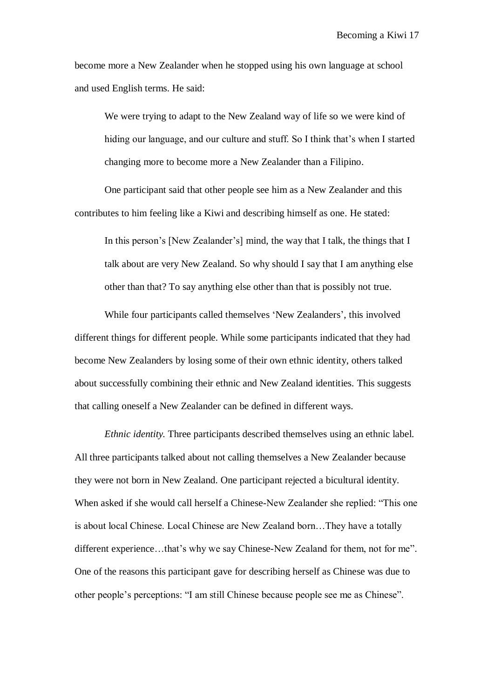become more a New Zealander when he stopped using his own language at school and used English terms. He said:

We were trying to adapt to the New Zealand way of life so we were kind of hiding our language, and our culture and stuff. So I think that's when I started changing more to become more a New Zealander than a Filipino.

One participant said that other people see him as a New Zealander and this contributes to him feeling like a Kiwi and describing himself as one. He stated:

In this person"s [New Zealander"s] mind, the way that I talk, the things that I talk about are very New Zealand. So why should I say that I am anything else other than that? To say anything else other than that is possibly not true.

While four participants called themselves 'New Zealanders', this involved different things for different people. While some participants indicated that they had become New Zealanders by losing some of their own ethnic identity, others talked about successfully combining their ethnic and New Zealand identities. This suggests that calling oneself a New Zealander can be defined in different ways.

*Ethnic identity.* Three participants described themselves using an ethnic label. All three participants talked about not calling themselves a New Zealander because they were not born in New Zealand. One participant rejected a bicultural identity. When asked if she would call herself a Chinese-New Zealander she replied: "This one is about local Chinese. Local Chinese are New Zealand born…They have a totally different experience...that's why we say Chinese-New Zealand for them, not for me". One of the reasons this participant gave for describing herself as Chinese was due to other people"s perceptions: "I am still Chinese because people see me as Chinese".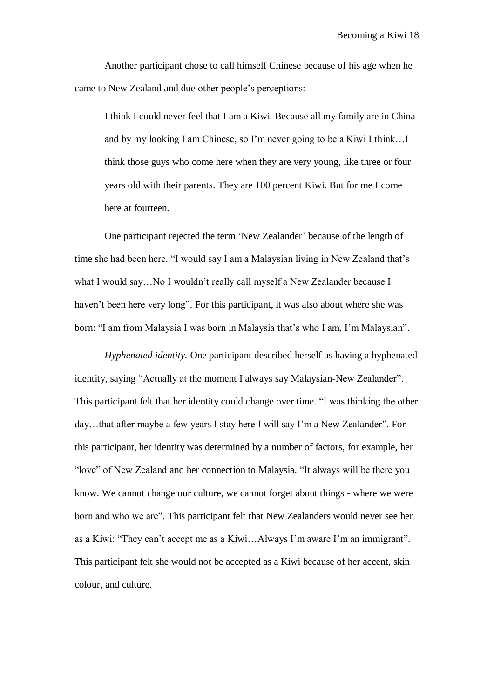Another participant chose to call himself Chinese because of his age when he came to New Zealand and due other people"s perceptions:

I think I could never feel that I am a Kiwi. Because all my family are in China and by my looking I am Chinese, so I"m never going to be a Kiwi I think…I think those guys who come here when they are very young, like three or four years old with their parents. They are 100 percent Kiwi. But for me I come here at fourteen.

One participant rejected the term "New Zealander" because of the length of time she had been here. "I would say I am a Malaysian living in New Zealand that"s what I would say…No I wouldn"t really call myself a New Zealander because I haven"t been here very long". For this participant, it was also about where she was born: "I am from Malaysia I was born in Malaysia that's who I am, I'm Malaysian".

*Hyphenated identity.* One participant described herself as having a hyphenated identity, saying "Actually at the moment I always say Malaysian-New Zealander". This participant felt that her identity could change over time. "I was thinking the other day…that after maybe a few years I stay here I will say I"m a New Zealander". For this participant, her identity was determined by a number of factors, for example, her "love" of New Zealand and her connection to Malaysia. "It always will be there you know. We cannot change our culture, we cannot forget about things - where we were born and who we are". This participant felt that New Zealanders would never see her as a Kiwi: "They can"t accept me as a Kiwi…Always I"m aware I"m an immigrant". This participant felt she would not be accepted as a Kiwi because of her accent, skin colour, and culture.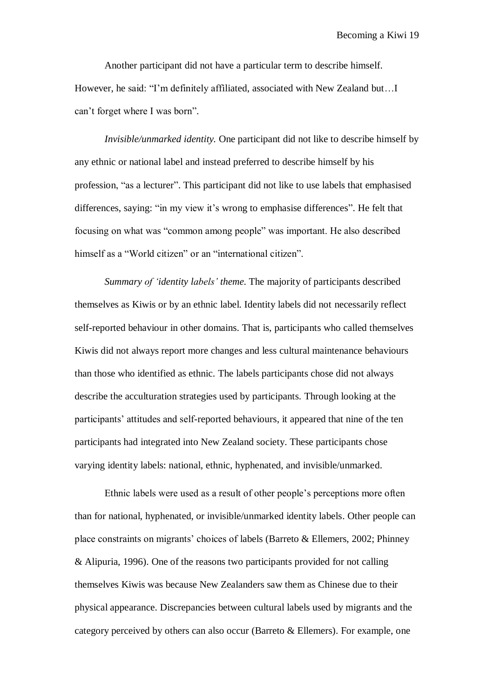Another participant did not have a particular term to describe himself. However, he said: "I"m definitely affiliated, associated with New Zealand but…I can"t forget where I was born".

*Invisible/unmarked identity.* One participant did not like to describe himself by any ethnic or national label and instead preferred to describe himself by his profession, "as a lecturer". This participant did not like to use labels that emphasised differences, saying: "in my view it's wrong to emphasise differences". He felt that focusing on what was "common among people" was important. He also described himself as a "World citizen" or an "international citizen".

*Summary of 'identity labels' theme.* The majority of participants described themselves as Kiwis or by an ethnic label. Identity labels did not necessarily reflect self-reported behaviour in other domains. That is, participants who called themselves Kiwis did not always report more changes and less cultural maintenance behaviours than those who identified as ethnic. The labels participants chose did not always describe the acculturation strategies used by participants. Through looking at the participants' attitudes and self-reported behaviours, it appeared that nine of the ten participants had integrated into New Zealand society. These participants chose varying identity labels: national, ethnic, hyphenated, and invisible/unmarked.

Ethnic labels were used as a result of other people"s perceptions more often than for national, hyphenated, or invisible/unmarked identity labels. Other people can place constraints on migrants" choices of labels (Barreto & Ellemers, 2002; Phinney & Alipuria, 1996). One of the reasons two participants provided for not calling themselves Kiwis was because New Zealanders saw them as Chinese due to their physical appearance. Discrepancies between cultural labels used by migrants and the category perceived by others can also occur (Barreto & Ellemers). For example, one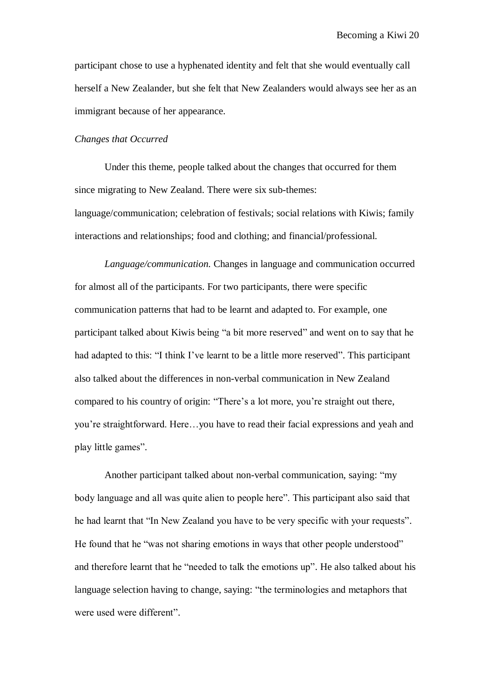participant chose to use a hyphenated identity and felt that she would eventually call herself a New Zealander, but she felt that New Zealanders would always see her as an immigrant because of her appearance.

#### *Changes that Occurred*

Under this theme, people talked about the changes that occurred for them since migrating to New Zealand. There were six sub-themes: language/communication; celebration of festivals; social relations with Kiwis; family interactions and relationships; food and clothing; and financial/professional.

*Language/communication.* Changes in language and communication occurred for almost all of the participants. For two participants, there were specific communication patterns that had to be learnt and adapted to. For example, one participant talked about Kiwis being "a bit more reserved" and went on to say that he had adapted to this: "I think I've learnt to be a little more reserved". This participant also talked about the differences in non-verbal communication in New Zealand compared to his country of origin: "There's a lot more, you're straight out there, you"re straightforward. Here…you have to read their facial expressions and yeah and play little games".

Another participant talked about non-verbal communication, saying: "my body language and all was quite alien to people here". This participant also said that he had learnt that "In New Zealand you have to be very specific with your requests". He found that he "was not sharing emotions in ways that other people understood" and therefore learnt that he "needed to talk the emotions up". He also talked about his language selection having to change, saying: "the terminologies and metaphors that were used were different".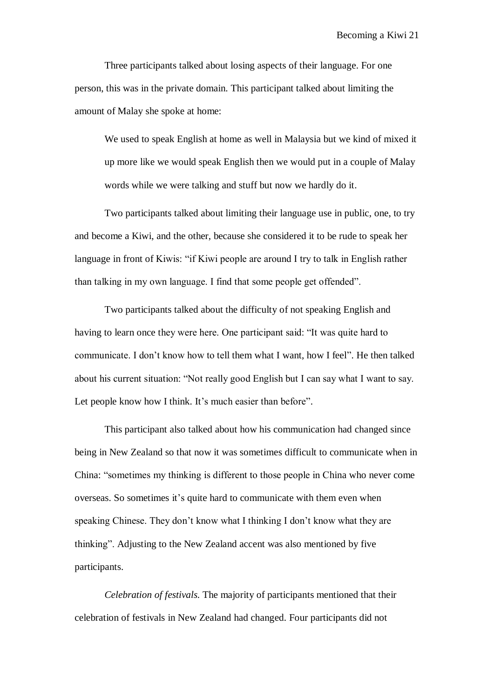Three participants talked about losing aspects of their language. For one person, this was in the private domain. This participant talked about limiting the amount of Malay she spoke at home:

We used to speak English at home as well in Malaysia but we kind of mixed it up more like we would speak English then we would put in a couple of Malay words while we were talking and stuff but now we hardly do it.

Two participants talked about limiting their language use in public, one, to try and become a Kiwi, and the other, because she considered it to be rude to speak her language in front of Kiwis: "if Kiwi people are around I try to talk in English rather than talking in my own language. I find that some people get offended".

Two participants talked about the difficulty of not speaking English and having to learn once they were here. One participant said: "It was quite hard to communicate. I don"t know how to tell them what I want, how I feel". He then talked about his current situation: "Not really good English but I can say what I want to say. Let people know how I think. It's much easier than before".

This participant also talked about how his communication had changed since being in New Zealand so that now it was sometimes difficult to communicate when in China: "sometimes my thinking is different to those people in China who never come overseas. So sometimes it"s quite hard to communicate with them even when speaking Chinese. They don"t know what I thinking I don"t know what they are thinking". Adjusting to the New Zealand accent was also mentioned by five participants.

*Celebration of festivals.* The majority of participants mentioned that their celebration of festivals in New Zealand had changed. Four participants did not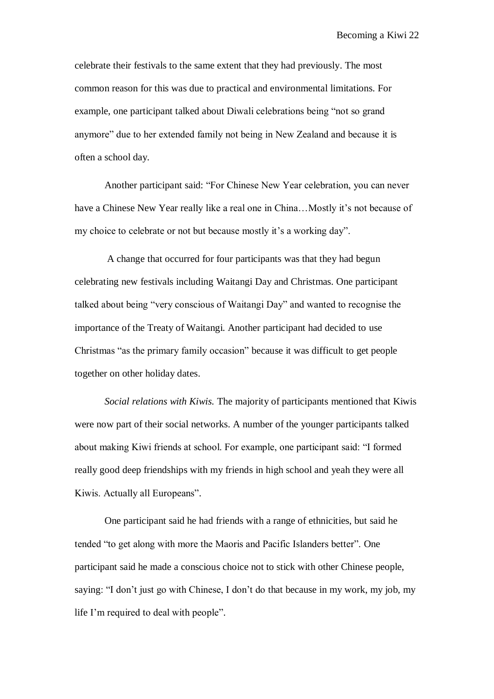celebrate their festivals to the same extent that they had previously. The most common reason for this was due to practical and environmental limitations. For example, one participant talked about Diwali celebrations being "not so grand anymore" due to her extended family not being in New Zealand and because it is often a school day.

Another participant said: "For Chinese New Year celebration, you can never have a Chinese New Year really like a real one in China...Mostly it's not because of my choice to celebrate or not but because mostly it's a working day".

A change that occurred for four participants was that they had begun celebrating new festivals including Waitangi Day and Christmas. One participant talked about being "very conscious of Waitangi Day" and wanted to recognise the importance of the Treaty of Waitangi. Another participant had decided to use Christmas "as the primary family occasion" because it was difficult to get people together on other holiday dates.

*Social relations with Kiwis.* The majority of participants mentioned that Kiwis were now part of their social networks. A number of the younger participants talked about making Kiwi friends at school. For example, one participant said: "I formed really good deep friendships with my friends in high school and yeah they were all Kiwis. Actually all Europeans".

One participant said he had friends with a range of ethnicities, but said he tended "to get along with more the Maoris and Pacific Islanders better". One participant said he made a conscious choice not to stick with other Chinese people, saying: "I don"t just go with Chinese, I don"t do that because in my work, my job, my life I"m required to deal with people".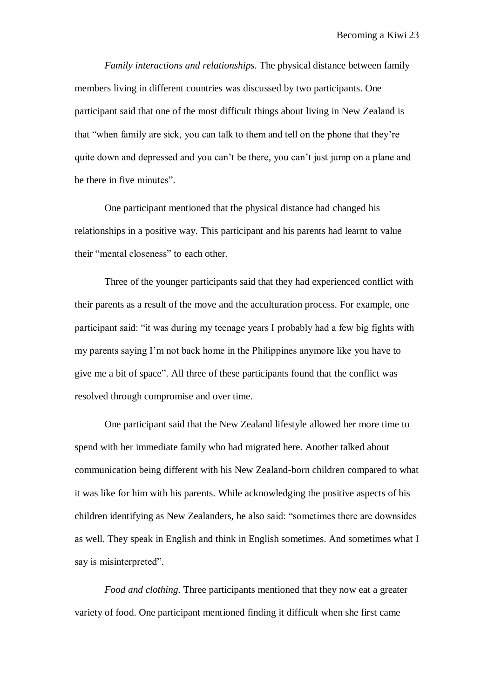*Family interactions and relationships.* The physical distance between family members living in different countries was discussed by two participants. One participant said that one of the most difficult things about living in New Zealand is that "when family are sick, you can talk to them and tell on the phone that they"re quite down and depressed and you can"t be there, you can"t just jump on a plane and be there in five minutes".

One participant mentioned that the physical distance had changed his relationships in a positive way. This participant and his parents had learnt to value their "mental closeness" to each other.

Three of the younger participants said that they had experienced conflict with their parents as a result of the move and the acculturation process. For example, one participant said: "it was during my teenage years I probably had a few big fights with my parents saying I"m not back home in the Philippines anymore like you have to give me a bit of space". All three of these participants found that the conflict was resolved through compromise and over time.

One participant said that the New Zealand lifestyle allowed her more time to spend with her immediate family who had migrated here. Another talked about communication being different with his New Zealand-born children compared to what it was like for him with his parents. While acknowledging the positive aspects of his children identifying as New Zealanders, he also said: "sometimes there are downsides as well. They speak in English and think in English sometimes. And sometimes what I say is misinterpreted".

*Food and clothing.* Three participants mentioned that they now eat a greater variety of food. One participant mentioned finding it difficult when she first came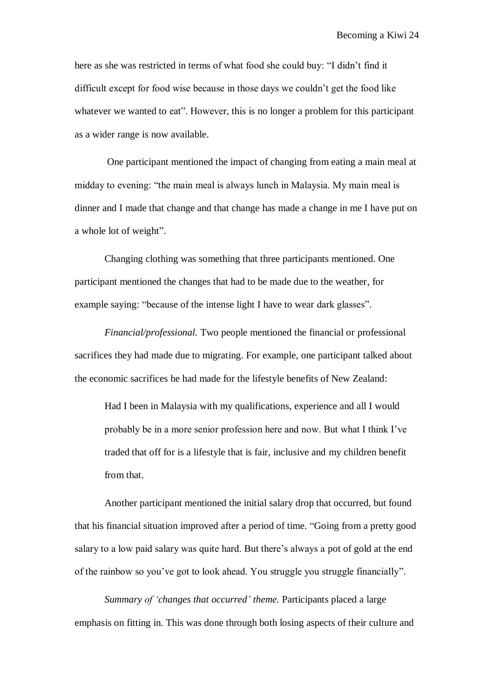here as she was restricted in terms of what food she could buy: "I didn"t find it difficult except for food wise because in those days we couldn"t get the food like whatever we wanted to eat". However, this is no longer a problem for this participant as a wider range is now available.

One participant mentioned the impact of changing from eating a main meal at midday to evening: "the main meal is always lunch in Malaysia. My main meal is dinner and I made that change and that change has made a change in me I have put on a whole lot of weight".

Changing clothing was something that three participants mentioned. One participant mentioned the changes that had to be made due to the weather, for example saying: "because of the intense light I have to wear dark glasses".

*Financial/professional.* Two people mentioned the financial or professional sacrifices they had made due to migrating. For example, one participant talked about the economic sacrifices he had made for the lifestyle benefits of New Zealand:

Had I been in Malaysia with my qualifications, experience and all I would probably be in a more senior profession here and now. But what I think I"ve traded that off for is a lifestyle that is fair, inclusive and my children benefit from that.

Another participant mentioned the initial salary drop that occurred, but found that his financial situation improved after a period of time. "Going from a pretty good salary to a low paid salary was quite hard. But there's always a pot of gold at the end of the rainbow so you"ve got to look ahead. You struggle you struggle financially".

*Summary of 'changes that occurred' theme.* Participants placed a large emphasis on fitting in. This was done through both losing aspects of their culture and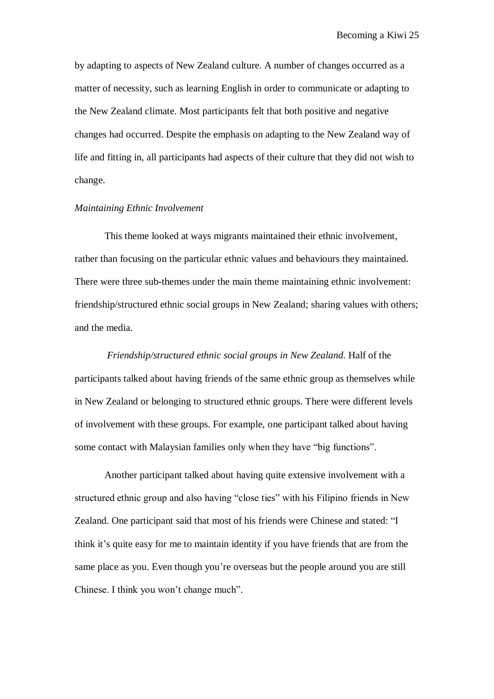by adapting to aspects of New Zealand culture. A number of changes occurred as a matter of necessity, such as learning English in order to communicate or adapting to the New Zealand climate. Most participants felt that both positive and negative changes had occurred. Despite the emphasis on adapting to the New Zealand way of life and fitting in, all participants had aspects of their culture that they did not wish to change.

#### *Maintaining Ethnic Involvement*

This theme looked at ways migrants maintained their ethnic involvement, rather than focusing on the particular ethnic values and behaviours they maintained. There were three sub-themes under the main theme maintaining ethnic involvement: friendship/structured ethnic social groups in New Zealand; sharing values with others; and the media.

*Friendship/structured ethnic social groups in New Zealand.* Half of the participants talked about having friends of the same ethnic group as themselves while in New Zealand or belonging to structured ethnic groups. There were different levels of involvement with these groups. For example, one participant talked about having some contact with Malaysian families only when they have "big functions".

Another participant talked about having quite extensive involvement with a structured ethnic group and also having "close ties" with his Filipino friends in New Zealand. One participant said that most of his friends were Chinese and stated: "I think it"s quite easy for me to maintain identity if you have friends that are from the same place as you. Even though you"re overseas but the people around you are still Chinese. I think you won"t change much".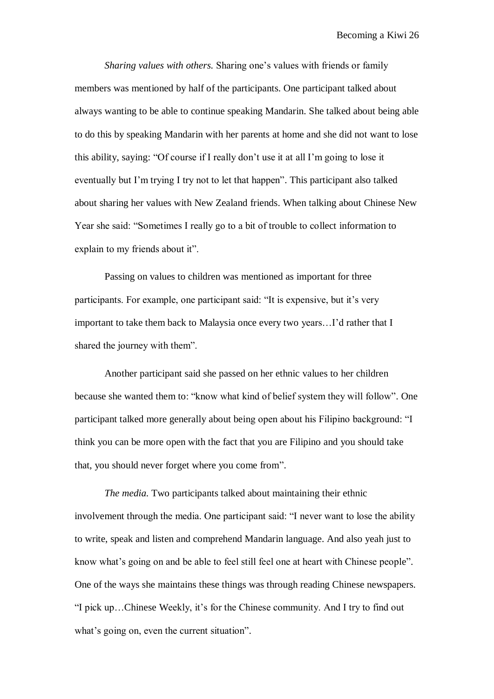*Sharing values with others.* Sharing one"s values with friends or family members was mentioned by half of the participants. One participant talked about always wanting to be able to continue speaking Mandarin. She talked about being able to do this by speaking Mandarin with her parents at home and she did not want to lose this ability, saying: "Of course if I really don"t use it at all I"m going to lose it eventually but I"m trying I try not to let that happen". This participant also talked about sharing her values with New Zealand friends. When talking about Chinese New Year she said: "Sometimes I really go to a bit of trouble to collect information to explain to my friends about it".

Passing on values to children was mentioned as important for three participants. For example, one participant said: "It is expensive, but it's very important to take them back to Malaysia once every two years…I"d rather that I shared the journey with them".

Another participant said she passed on her ethnic values to her children because she wanted them to: "know what kind of belief system they will follow". One participant talked more generally about being open about his Filipino background: "I think you can be more open with the fact that you are Filipino and you should take that, you should never forget where you come from".

*The media.* Two participants talked about maintaining their ethnic involvement through the media. One participant said: "I never want to lose the ability to write, speak and listen and comprehend Mandarin language. And also yeah just to know what"s going on and be able to feel still feel one at heart with Chinese people". One of the ways she maintains these things was through reading Chinese newspapers. "I pick up…Chinese Weekly, it"s for the Chinese community. And I try to find out what's going on, even the current situation".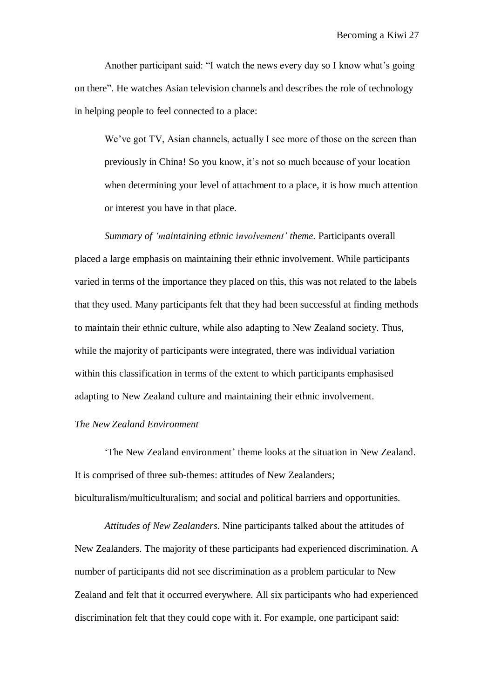Another participant said: "I watch the news every day so I know what"s going on there". He watches Asian television channels and describes the role of technology in helping people to feel connected to a place:

We've got TV, Asian channels, actually I see more of those on the screen than previously in China! So you know, it's not so much because of your location when determining your level of attachment to a place, it is how much attention or interest you have in that place.

*Summary of 'maintaining ethnic involvement' theme.* Participants overall placed a large emphasis on maintaining their ethnic involvement. While participants varied in terms of the importance they placed on this, this was not related to the labels that they used. Many participants felt that they had been successful at finding methods to maintain their ethnic culture, while also adapting to New Zealand society. Thus, while the majority of participants were integrated, there was individual variation within this classification in terms of the extent to which participants emphasised adapting to New Zealand culture and maintaining their ethnic involvement.

# *The New Zealand Environment*

"The New Zealand environment" theme looks at the situation in New Zealand. It is comprised of three sub-themes: attitudes of New Zealanders; biculturalism/multiculturalism; and social and political barriers and opportunities.

*Attitudes of New Zealanders.* Nine participants talked about the attitudes of New Zealanders. The majority of these participants had experienced discrimination. A number of participants did not see discrimination as a problem particular to New Zealand and felt that it occurred everywhere. All six participants who had experienced discrimination felt that they could cope with it. For example, one participant said: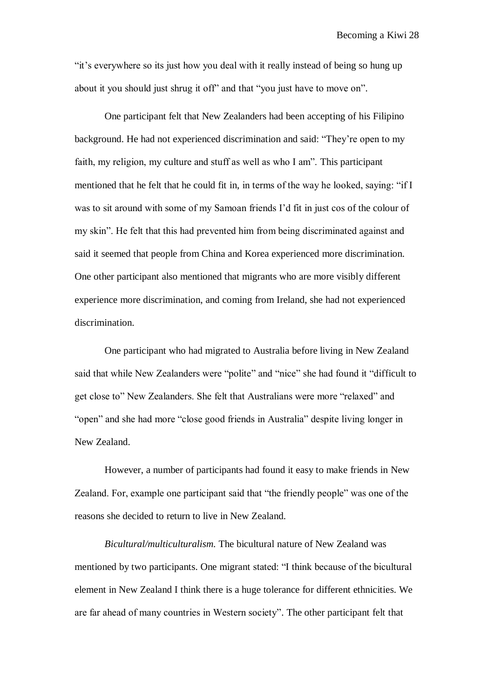"it's everywhere so its just how you deal with it really instead of being so hung up about it you should just shrug it off" and that "you just have to move on".

One participant felt that New Zealanders had been accepting of his Filipino background. He had not experienced discrimination and said: "They"re open to my faith, my religion, my culture and stuff as well as who I am". This participant mentioned that he felt that he could fit in, in terms of the way he looked, saying: "if I was to sit around with some of my Samoan friends I"d fit in just cos of the colour of my skin". He felt that this had prevented him from being discriminated against and said it seemed that people from China and Korea experienced more discrimination. One other participant also mentioned that migrants who are more visibly different experience more discrimination, and coming from Ireland, she had not experienced discrimination.

One participant who had migrated to Australia before living in New Zealand said that while New Zealanders were "polite" and "nice" she had found it "difficult to get close to" New Zealanders. She felt that Australians were more "relaxed" and "open" and she had more "close good friends in Australia" despite living longer in New Zealand.

However, a number of participants had found it easy to make friends in New Zealand. For, example one participant said that "the friendly people" was one of the reasons she decided to return to live in New Zealand.

*Bicultural/multiculturalism.* The bicultural nature of New Zealand was mentioned by two participants. One migrant stated: "I think because of the bicultural element in New Zealand I think there is a huge tolerance for different ethnicities. We are far ahead of many countries in Western society". The other participant felt that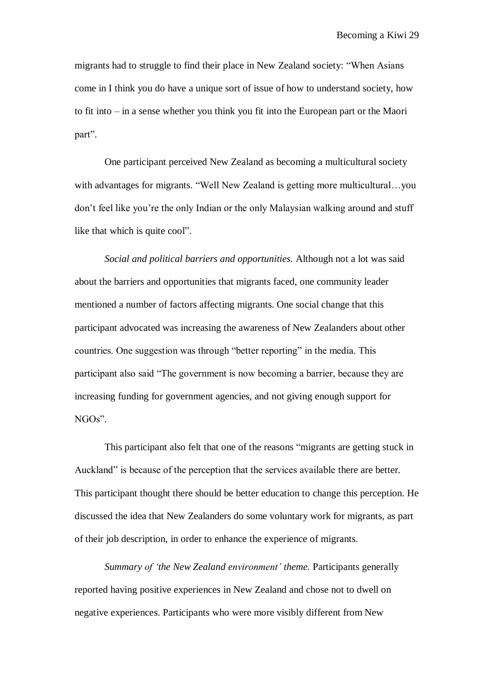migrants had to struggle to find their place in New Zealand society: "When Asians come in I think you do have a unique sort of issue of how to understand society, how to fit into – in a sense whether you think you fit into the European part or the Maori part".

One participant perceived New Zealand as becoming a multicultural society with advantages for migrants. "Well New Zealand is getting more multicultural...you don"t feel like you"re the only Indian or the only Malaysian walking around and stuff like that which is quite cool".

*Social and political barriers and opportunities.* Although not a lot was said about the barriers and opportunities that migrants faced, one community leader mentioned a number of factors affecting migrants. One social change that this participant advocated was increasing the awareness of New Zealanders about other countries. One suggestion was through "better reporting" in the media. This participant also said "The government is now becoming a barrier, because they are increasing funding for government agencies, and not giving enough support for NGOs".

This participant also felt that one of the reasons "migrants are getting stuck in Auckland" is because of the perception that the services available there are better. This participant thought there should be better education to change this perception. He discussed the idea that New Zealanders do some voluntary work for migrants, as part of their job description, in order to enhance the experience of migrants.

*Summary of 'the New Zealand environment' theme.* Participants generally reported having positive experiences in New Zealand and chose not to dwell on negative experiences. Participants who were more visibly different from New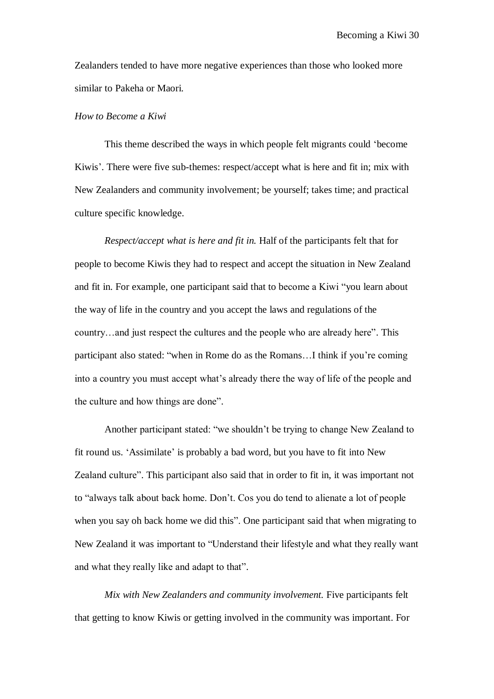Zealanders tended to have more negative experiences than those who looked more similar to Pakeha or Maori.

#### *How to Become a Kiwi*

This theme described the ways in which people felt migrants could "become Kiwis'. There were five sub-themes: respect/accept what is here and fit in; mix with New Zealanders and community involvement; be yourself; takes time; and practical culture specific knowledge.

*Respect/accept what is here and fit in.* Half of the participants felt that for people to become Kiwis they had to respect and accept the situation in New Zealand and fit in. For example, one participant said that to become a Kiwi "you learn about the way of life in the country and you accept the laws and regulations of the country…and just respect the cultures and the people who are already here". This participant also stated: "when in Rome do as the Romans…I think if you"re coming into a country you must accept what"s already there the way of life of the people and the culture and how things are done".

Another participant stated: "we shouldn"t be trying to change New Zealand to fit round us. "Assimilate" is probably a bad word, but you have to fit into New Zealand culture". This participant also said that in order to fit in, it was important not to "always talk about back home. Don"t. Cos you do tend to alienate a lot of people when you say oh back home we did this". One participant said that when migrating to New Zealand it was important to "Understand their lifestyle and what they really want and what they really like and adapt to that".

*Mix with New Zealanders and community involvement.* Five participants felt that getting to know Kiwis or getting involved in the community was important. For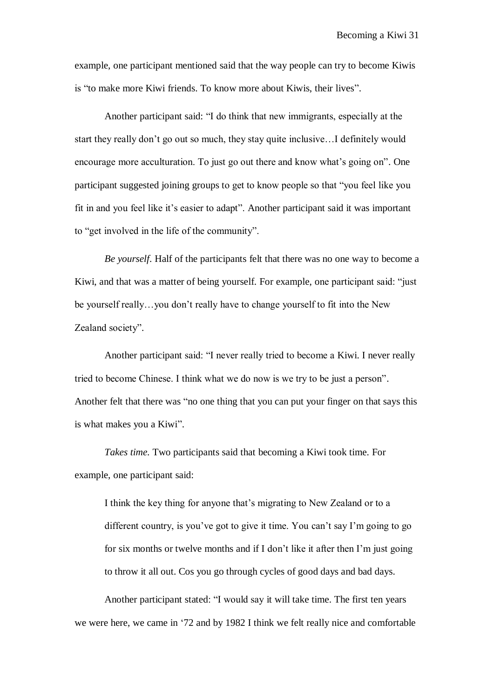example, one participant mentioned said that the way people can try to become Kiwis is "to make more Kiwi friends. To know more about Kiwis, their lives".

Another participant said: "I do think that new immigrants, especially at the start they really don"t go out so much, they stay quite inclusive…I definitely would encourage more acculturation. To just go out there and know what's going on". One participant suggested joining groups to get to know people so that "you feel like you fit in and you feel like it"s easier to adapt". Another participant said it was important to "get involved in the life of the community".

*Be yourself.* Half of the participants felt that there was no one way to become a Kiwi, and that was a matter of being yourself. For example, one participant said: "just be yourself really…you don"t really have to change yourself to fit into the New Zealand society".

Another participant said: "I never really tried to become a Kiwi. I never really tried to become Chinese. I think what we do now is we try to be just a person". Another felt that there was "no one thing that you can put your finger on that says this is what makes you a Kiwi".

*Takes time.* Two participants said that becoming a Kiwi took time. For example, one participant said:

I think the key thing for anyone that"s migrating to New Zealand or to a different country, is you've got to give it time. You can't say I'm going to go for six months or twelve months and if I don"t like it after then I"m just going to throw it all out. Cos you go through cycles of good days and bad days.

Another participant stated: "I would say it will take time. The first ten years we were here, we came in "72 and by 1982 I think we felt really nice and comfortable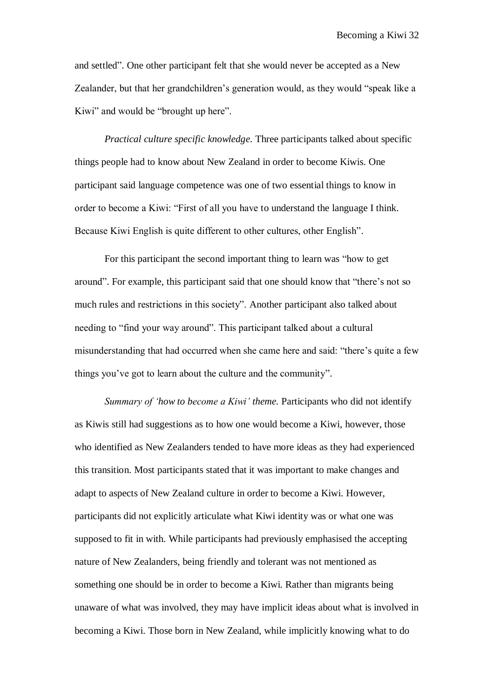and settled". One other participant felt that she would never be accepted as a New Zealander, but that her grandchildren's generation would, as they would "speak like a Kiwi" and would be "brought up here".

*Practical culture specific knowledge.* Three participants talked about specific things people had to know about New Zealand in order to become Kiwis. One participant said language competence was one of two essential things to know in order to become a Kiwi: "First of all you have to understand the language I think. Because Kiwi English is quite different to other cultures, other English".

For this participant the second important thing to learn was "how to get around". For example, this participant said that one should know that "there"s not so much rules and restrictions in this society". Another participant also talked about needing to "find your way around". This participant talked about a cultural misunderstanding that had occurred when she came here and said: "there"s quite a few things you"ve got to learn about the culture and the community".

*Summary of 'how to become a Kiwi' theme.* Participants who did not identify as Kiwis still had suggestions as to how one would become a Kiwi, however, those who identified as New Zealanders tended to have more ideas as they had experienced this transition. Most participants stated that it was important to make changes and adapt to aspects of New Zealand culture in order to become a Kiwi. However, participants did not explicitly articulate what Kiwi identity was or what one was supposed to fit in with. While participants had previously emphasised the accepting nature of New Zealanders, being friendly and tolerant was not mentioned as something one should be in order to become a Kiwi. Rather than migrants being unaware of what was involved, they may have implicit ideas about what is involved in becoming a Kiwi. Those born in New Zealand, while implicitly knowing what to do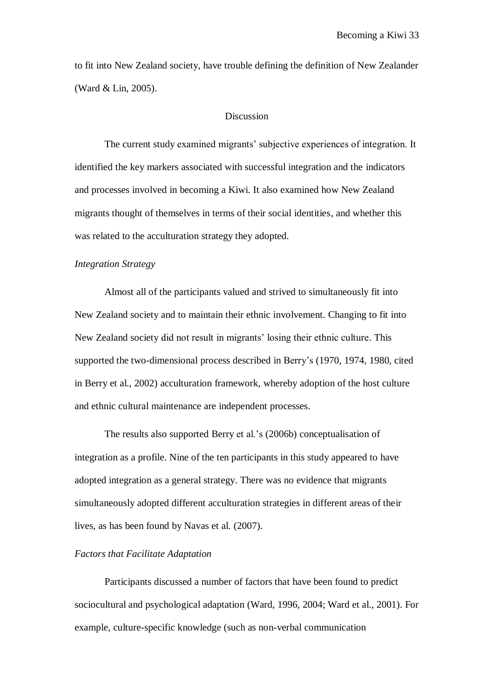to fit into New Zealand society, have trouble defining the definition of New Zealander (Ward & Lin, 2005).

# Discussion

The current study examined migrants' subjective experiences of integration. It identified the key markers associated with successful integration and the indicators and processes involved in becoming a Kiwi. It also examined how New Zealand migrants thought of themselves in terms of their social identities, and whether this was related to the acculturation strategy they adopted.

## *Integration Strategy*

Almost all of the participants valued and strived to simultaneously fit into New Zealand society and to maintain their ethnic involvement. Changing to fit into New Zealand society did not result in migrants" losing their ethnic culture. This supported the two-dimensional process described in Berry"s (1970, 1974, 1980, cited in Berry et al., 2002) acculturation framework, whereby adoption of the host culture and ethnic cultural maintenance are independent processes.

The results also supported Berry et al."s (2006b) conceptualisation of integration as a profile. Nine of the ten participants in this study appeared to have adopted integration as a general strategy. There was no evidence that migrants simultaneously adopted different acculturation strategies in different areas of their lives, as has been found by Navas et al. (2007).

## *Factors that Facilitate Adaptation*

Participants discussed a number of factors that have been found to predict sociocultural and psychological adaptation (Ward, 1996, 2004; Ward et al., 2001). For example, culture-specific knowledge (such as non-verbal communication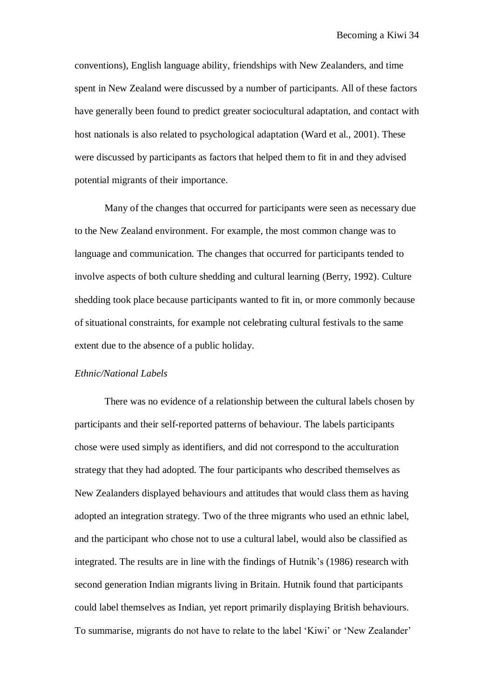conventions), English language ability, friendships with New Zealanders, and time spent in New Zealand were discussed by a number of participants. All of these factors have generally been found to predict greater sociocultural adaptation, and contact with host nationals is also related to psychological adaptation (Ward et al., 2001). These were discussed by participants as factors that helped them to fit in and they advised potential migrants of their importance.

Many of the changes that occurred for participants were seen as necessary due to the New Zealand environment. For example, the most common change was to language and communication. The changes that occurred for participants tended to involve aspects of both culture shedding and cultural learning (Berry, 1992). Culture shedding took place because participants wanted to fit in, or more commonly because of situational constraints, for example not celebrating cultural festivals to the same extent due to the absence of a public holiday.

## *Ethnic/National Labels*

There was no evidence of a relationship between the cultural labels chosen by participants and their self-reported patterns of behaviour. The labels participants chose were used simply as identifiers, and did not correspond to the acculturation strategy that they had adopted. The four participants who described themselves as New Zealanders displayed behaviours and attitudes that would class them as having adopted an integration strategy. Two of the three migrants who used an ethnic label, and the participant who chose not to use a cultural label, would also be classified as integrated. The results are in line with the findings of Hutnik"s (1986) research with second generation Indian migrants living in Britain. Hutnik found that participants could label themselves as Indian, yet report primarily displaying British behaviours. To summarise, migrants do not have to relate to the label "Kiwi" or "New Zealander"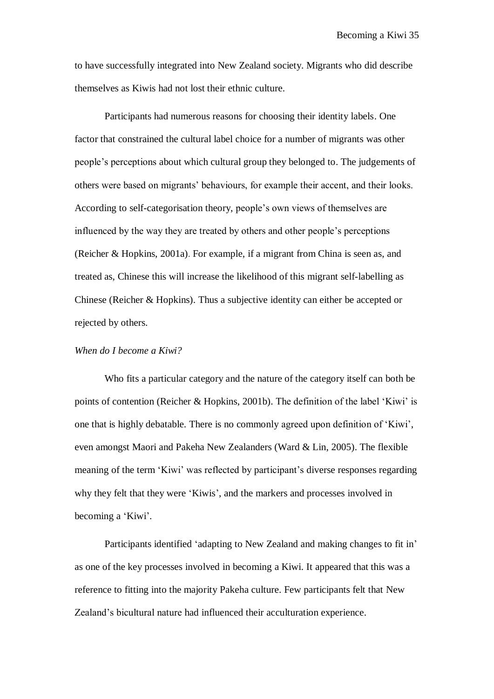to have successfully integrated into New Zealand society. Migrants who did describe themselves as Kiwis had not lost their ethnic culture.

Participants had numerous reasons for choosing their identity labels. One factor that constrained the cultural label choice for a number of migrants was other people"s perceptions about which cultural group they belonged to. The judgements of others were based on migrants" behaviours, for example their accent, and their looks. According to self-categorisation theory, people"s own views of themselves are influenced by the way they are treated by others and other people"s perceptions (Reicher & Hopkins, 2001a). For example, if a migrant from China is seen as, and treated as, Chinese this will increase the likelihood of this migrant self-labelling as Chinese (Reicher & Hopkins). Thus a subjective identity can either be accepted or rejected by others.

# *When do I become a Kiwi?*

Who fits a particular category and the nature of the category itself can both be points of contention (Reicher & Hopkins, 2001b). The definition of the label "Kiwi" is one that is highly debatable. There is no commonly agreed upon definition of "Kiwi", even amongst Maori and Pakeha New Zealanders (Ward & Lin, 2005). The flexible meaning of the term 'Kiwi' was reflected by participant's diverse responses regarding why they felt that they were 'Kiwis', and the markers and processes involved in becoming a 'Kiwi'.

Participants identified 'adapting to New Zealand and making changes to fit in' as one of the key processes involved in becoming a Kiwi. It appeared that this was a reference to fitting into the majority Pakeha culture. Few participants felt that New Zealand"s bicultural nature had influenced their acculturation experience.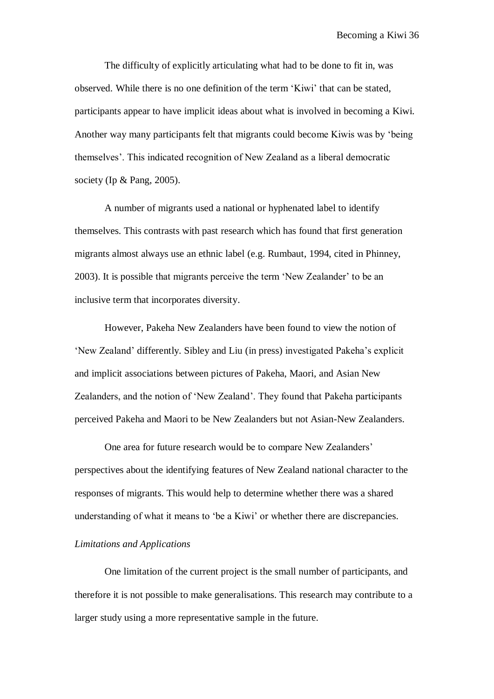The difficulty of explicitly articulating what had to be done to fit in, was observed. While there is no one definition of the term "Kiwi" that can be stated, participants appear to have implicit ideas about what is involved in becoming a Kiwi. Another way many participants felt that migrants could become Kiwis was by "being themselves". This indicated recognition of New Zealand as a liberal democratic society (Ip & Pang, 2005).

A number of migrants used a national or hyphenated label to identify themselves. This contrasts with past research which has found that first generation migrants almost always use an ethnic label (e.g. Rumbaut, 1994, cited in Phinney, 2003). It is possible that migrants perceive the term "New Zealander" to be an inclusive term that incorporates diversity.

However, Pakeha New Zealanders have been found to view the notion of "New Zealand" differently. Sibley and Liu (in press) investigated Pakeha"s explicit and implicit associations between pictures of Pakeha, Maori, and Asian New Zealanders, and the notion of "New Zealand". They found that Pakeha participants perceived Pakeha and Maori to be New Zealanders but not Asian-New Zealanders.

One area for future research would be to compare New Zealanders' perspectives about the identifying features of New Zealand national character to the responses of migrants. This would help to determine whether there was a shared understanding of what it means to "be a Kiwi" or whether there are discrepancies.

## *Limitations and Applications*

One limitation of the current project is the small number of participants, and therefore it is not possible to make generalisations. This research may contribute to a larger study using a more representative sample in the future.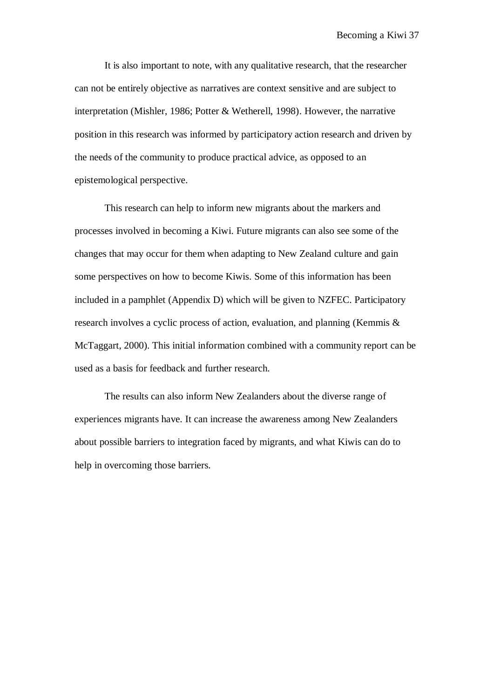It is also important to note, with any qualitative research, that the researcher can not be entirely objective as narratives are context sensitive and are subject to interpretation (Mishler, 1986; Potter & Wetherell, 1998). However, the narrative position in this research was informed by participatory action research and driven by the needs of the community to produce practical advice, as opposed to an epistemological perspective.

This research can help to inform new migrants about the markers and processes involved in becoming a Kiwi. Future migrants can also see some of the changes that may occur for them when adapting to New Zealand culture and gain some perspectives on how to become Kiwis. Some of this information has been included in a pamphlet (Appendix D) which will be given to NZFEC. Participatory research involves a cyclic process of action, evaluation, and planning (Kemmis & McTaggart, 2000). This initial information combined with a community report can be used as a basis for feedback and further research.

The results can also inform New Zealanders about the diverse range of experiences migrants have. It can increase the awareness among New Zealanders about possible barriers to integration faced by migrants, and what Kiwis can do to help in overcoming those barriers.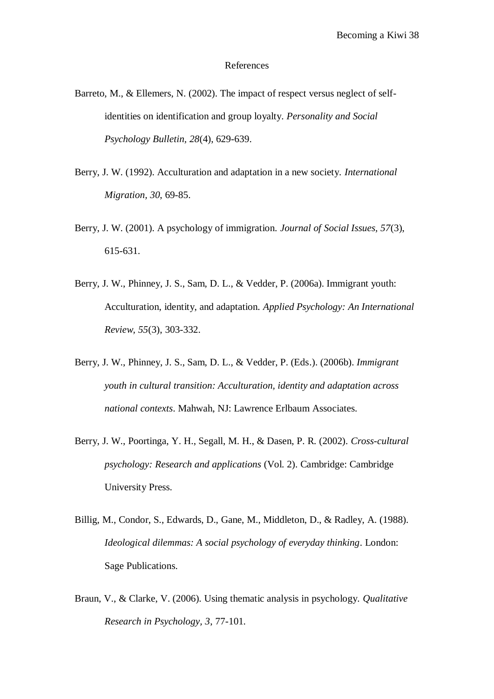#### References

- Barreto, M., & Ellemers, N. (2002). The impact of respect versus neglect of selfidentities on identification and group loyalty. *Personality and Social Psychology Bulletin, 28*(4), 629-639.
- Berry, J. W. (1992). Acculturation and adaptation in a new society. *International Migration, 30*, 69-85.
- Berry, J. W. (2001). A psychology of immigration. *Journal of Social Issues, 57*(3), 615-631.
- Berry, J. W., Phinney, J. S., Sam, D. L., & Vedder, P. (2006a). Immigrant youth: Acculturation, identity, and adaptation. *Applied Psychology: An International Review, 55*(3), 303-332.
- Berry, J. W., Phinney, J. S., Sam, D. L., & Vedder, P. (Eds.). (2006b). *Immigrant youth in cultural transition: Acculturation, identity and adaptation across national contexts*. Mahwah, NJ: Lawrence Erlbaum Associates.
- Berry, J. W., Poortinga, Y. H., Segall, M. H., & Dasen, P. R. (2002). *Cross-cultural psychology: Research and applications* (Vol. 2). Cambridge: Cambridge University Press.
- Billig, M., Condor, S., Edwards, D., Gane, M., Middleton, D., & Radley, A. (1988). *Ideological dilemmas: A social psychology of everyday thinking*. London: Sage Publications.
- Braun, V., & Clarke, V. (2006). Using thematic analysis in psychology. *Qualitative Research in Psychology, 3*, 77-101.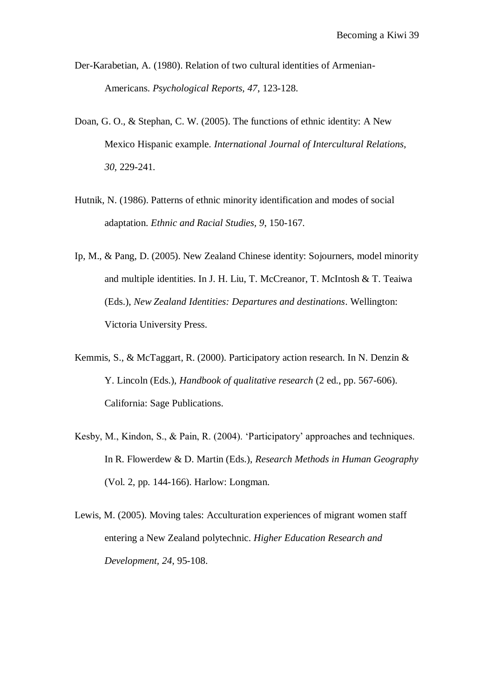- Der-Karabetian, A. (1980). Relation of two cultural identities of Armenian-Americans. *Psychological Reports, 47*, 123-128.
- Doan, G. O., & Stephan, C. W. (2005). The functions of ethnic identity: A New Mexico Hispanic example. *International Journal of Intercultural Relations, 30*, 229-241.
- Hutnik, N. (1986). Patterns of ethnic minority identification and modes of social adaptation. *Ethnic and Racial Studies, 9*, 150-167.
- Ip, M., & Pang, D. (2005). New Zealand Chinese identity: Sojourners, model minority and multiple identities. In J. H. Liu, T. McCreanor, T. McIntosh & T. Teaiwa (Eds.), *New Zealand Identities: Departures and destinations*. Wellington: Victoria University Press.
- Kemmis, S., & McTaggart, R. (2000). Participatory action research. In N. Denzin & Y. Lincoln (Eds.), *Handbook of qualitative research* (2 ed., pp. 567-606). California: Sage Publications.
- Kesby, M., Kindon, S., & Pain, R. (2004). "Participatory" approaches and techniques. In R. Flowerdew & D. Martin (Eds.), *Research Methods in Human Geography* (Vol. 2, pp. 144-166). Harlow: Longman.
- Lewis, M. (2005). Moving tales: Acculturation experiences of migrant women staff entering a New Zealand polytechnic. *Higher Education Research and Development, 24*, 95-108.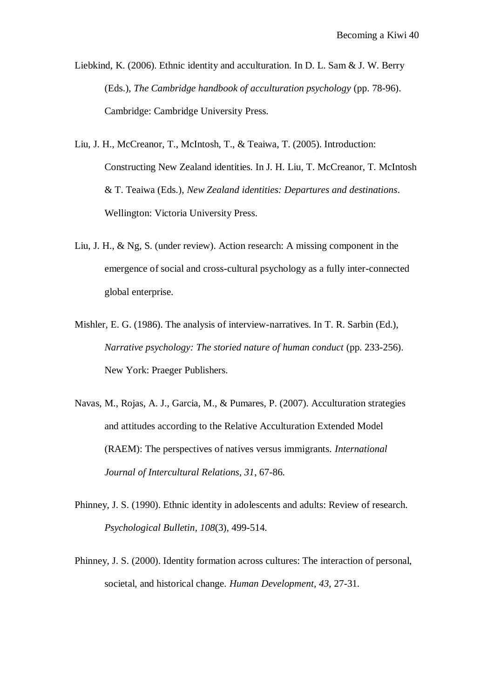Liebkind, K. (2006). Ethnic identity and acculturation. In D. L. Sam & J. W. Berry (Eds.), *The Cambridge handbook of acculturation psychology* (pp. 78-96). Cambridge: Cambridge University Press.

- Liu, J. H., McCreanor, T., McIntosh, T., & Teaiwa, T. (2005). Introduction: Constructing New Zealand identities. In J. H. Liu, T. McCreanor, T. McIntosh & T. Teaiwa (Eds.), *New Zealand identities: Departures and destinations*. Wellington: Victoria University Press.
- Liu, J. H., & Ng, S. (under review). Action research: A missing component in the emergence of social and cross-cultural psychology as a fully inter-connected global enterprise.
- Mishler, E. G. (1986). The analysis of interview-narratives. In T. R. Sarbin (Ed.), *Narrative psychology: The storied nature of human conduct* (pp. 233-256). New York: Praeger Publishers.
- Navas, M., Rojas, A. J., Garcia, M., & Pumares, P. (2007). Acculturation strategies and attitudes according to the Relative Acculturation Extended Model (RAEM): The perspectives of natives versus immigrants. *International Journal of Intercultural Relations, 31*, 67-86.
- Phinney, J. S. (1990). Ethnic identity in adolescents and adults: Review of research. *Psychological Bulletin, 108*(3), 499-514.
- Phinney, J. S. (2000). Identity formation across cultures: The interaction of personal, societal, and historical change. *Human Development, 43*, 27-31.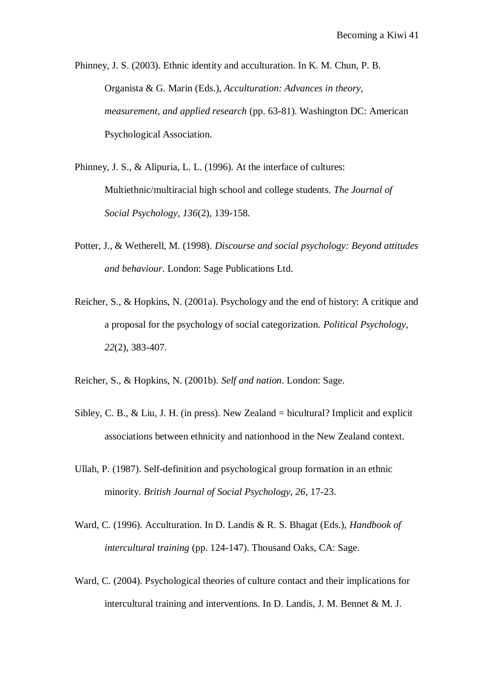Phinney, J. S. (2003). Ethnic identity and acculturation. In K. M. Chun, P. B. Organista & G. Marin (Eds.), *Acculturation: Advances in theory, measurement, and applied research* (pp. 63-81). Washington DC: American Psychological Association.

Phinney, J. S., & Alipuria, L. L. (1996). At the interface of cultures: Multiethnic/multiracial high school and college students. *The Journal of Social Psychology, 136*(2), 139-158.

- Potter, J., & Wetherell, M. (1998). *Discourse and social psychology: Beyond attitudes and behaviour*. London: Sage Publications Ltd.
- Reicher, S., & Hopkins, N. (2001a). Psychology and the end of history: A critique and a proposal for the psychology of social categorization. *Political Psychology, 22*(2), 383-407.

Reicher, S., & Hopkins, N. (2001b). *Self and nation*. London: Sage.

- Sibley, C. B., & Liu, J. H. (in press). New Zealand = bicultural? Implicit and explicit associations between ethnicity and nationhood in the New Zealand context.
- Ullah, P. (1987). Self-definition and psychological group formation in an ethnic minority. *British Journal of Social Psychology, 26*, 17-23.
- Ward, C. (1996). Acculturation. In D. Landis & R. S. Bhagat (Eds.), *Handbook of intercultural training* (pp. 124-147). Thousand Oaks, CA: Sage.
- Ward, C. (2004). Psychological theories of culture contact and their implications for intercultural training and interventions. In D. Landis, J. M. Bennet & M. J.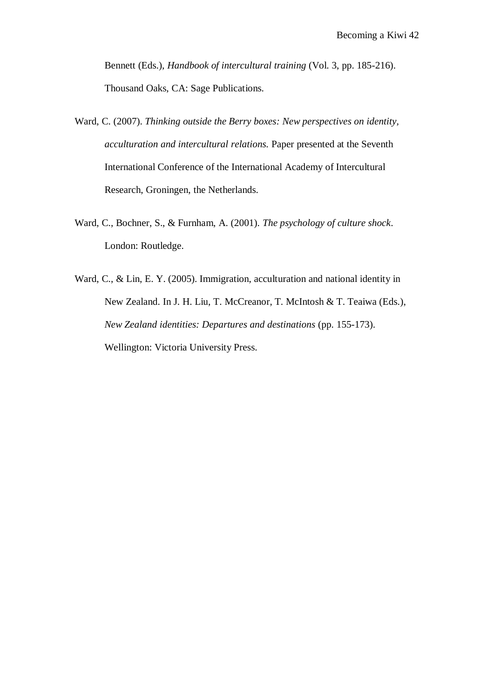Bennett (Eds.), *Handbook of intercultural training* (Vol. 3, pp. 185-216). Thousand Oaks, CA: Sage Publications.

- Ward, C. (2007). *Thinking outside the Berry boxes: New perspectives on identity, acculturation and intercultural relations.* Paper presented at the Seventh International Conference of the International Academy of Intercultural Research, Groningen, the Netherlands.
- Ward, C., Bochner, S., & Furnham, A. (2001). *The psychology of culture shock*. London: Routledge.
- Ward, C., & Lin, E. Y. (2005). Immigration, acculturation and national identity in New Zealand. In J. H. Liu, T. McCreanor, T. McIntosh & T. Teaiwa (Eds.), *New Zealand identities: Departures and destinations* (pp. 155-173). Wellington: Victoria University Press.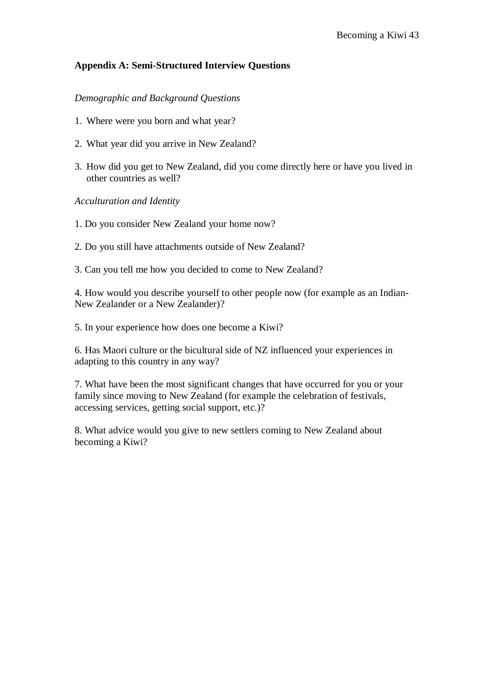# **Appendix A: Semi-Structured Interview Questions**

# *Demographic and Background Questions*

- 1. Where were you born and what year?
- 2. What year did you arrive in New Zealand?
- 3. How did you get to New Zealand, did you come directly here or have you lived in other countries as well?

*Acculturation and Identity*

- 1. Do you consider New Zealand your home now?
- 2. Do you still have attachments outside of New Zealand?
- 3. Can you tell me how you decided to come to New Zealand?

4. How would you describe yourself to other people now (for example as an Indian-New Zealander or a New Zealander)?

5. In your experience how does one become a Kiwi?

6. Has Maori culture or the bicultural side of NZ influenced your experiences in adapting to this country in any way?

7. What have been the most significant changes that have occurred for you or your family since moving to New Zealand (for example the celebration of festivals, accessing services, getting social support, etc.)?

8. What advice would you give to new settlers coming to New Zealand about becoming a Kiwi?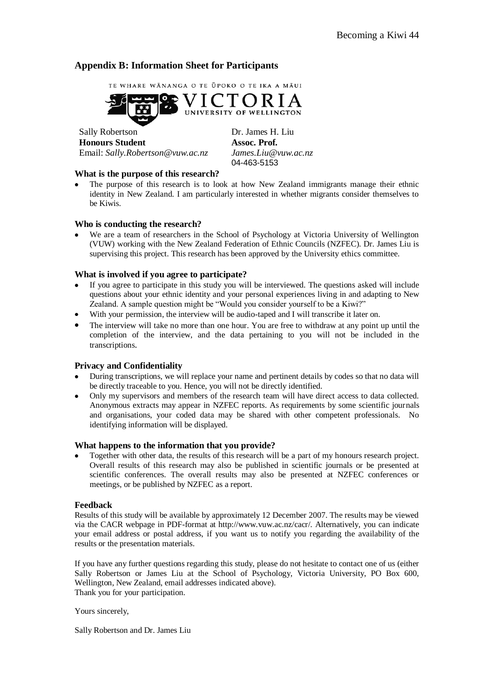# **Appendix B: Information Sheet for Participants**



Sally Robertson Dr. James H. Liu **Honours Student Assoc. Prof.** Email: *Sally.Robertson@vuw.ac.nz James.Liu@vuw.ac.nz*

04-463-5153

#### **What is the purpose of this research?**

The purpose of this research is to look at how New Zealand immigrants manage their ethnic identity in New Zealand. I am particularly interested in whether migrants consider themselves to be Kiwis.

#### **Who is conducting the research?**

We are a team of researchers in the School of Psychology at Victoria University of Wellington (VUW) working with the New Zealand Federation of Ethnic Councils (NZFEC). Dr. James Liu is supervising this project. This research has been approved by the University ethics committee.

#### **What is involved if you agree to participate?**

- If you agree to participate in this study you will be interviewed. The questions asked will include questions about your ethnic identity and your personal experiences living in and adapting to New Zealand. A sample question might be "Would you consider yourself to be a Kiwi?"
- With your permission, the interview will be audio-taped and I will transcribe it later on.  $\bullet$
- The interview will take no more than one hour. You are free to withdraw at any point up until the completion of the interview, and the data pertaining to you will not be included in the transcriptions.

## **Privacy and Confidentiality**

- During transcriptions, we will replace your name and pertinent details by codes so that no data will be directly traceable to you. Hence, you will not be directly identified.
- $\bullet$ Only my supervisors and members of the research team will have direct access to data collected. Anonymous extracts may appear in NZFEC reports. As requirements by some scientific journals and organisations, your coded data may be shared with other competent professionals. No identifying information will be displayed.

#### **What happens to the information that you provide?**

Together with other data, the results of this research will be a part of my honours research project. Overall results of this research may also be published in scientific journals or be presented at scientific conferences. The overall results may also be presented at NZFEC conferences or meetings, or be published by NZFEC as a report.

#### **Feedback**

Results of this study will be available by approximately 12 December 2007. The results may be viewed via the CACR webpage in PDF-format at http://www.vuw.ac.nz/cacr/. Alternatively, you can indicate your email address or postal address, if you want us to notify you regarding the availability of the results or the presentation materials.

If you have any further questions regarding this study, please do not hesitate to contact one of us (either Sally Robertson or James Liu at the School of Psychology, Victoria University, PO Box 600, Wellington, New Zealand, email addresses indicated above). Thank you for your participation.

Yours sincerely,

Sally Robertson and Dr. James Liu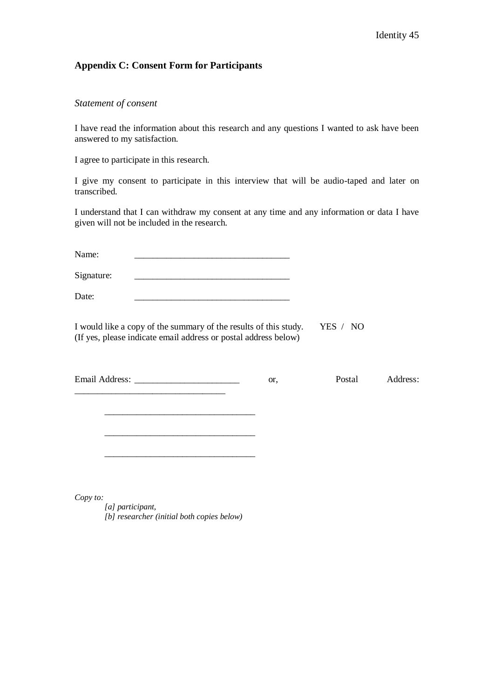# **Appendix C: Consent Form for Participants**

## *Statement of consent*

I have read the information about this research and any questions I wanted to ask have been answered to my satisfaction.

I agree to participate in this research.

I give my consent to participate in this interview that will be audio-taped and later on transcribed.

I understand that I can withdraw my consent at any time and any information or data I have given will not be included in the research.

Name: \_\_\_\_\_\_\_\_\_\_\_\_\_\_\_\_\_\_\_\_\_\_\_\_\_\_\_\_\_\_\_\_\_\_

Signature:

Date: \_\_\_\_\_\_\_\_\_\_\_\_\_\_\_\_\_\_\_\_\_\_\_\_\_\_\_\_\_\_\_\_\_\_

I would like a copy of the summary of the results of this study. YES / NO (If yes, please indicate email address or postal address below)

Email Address: \_\_\_\_\_\_\_\_\_\_\_\_\_\_\_\_\_\_\_\_\_\_\_\_\_\_\_\_\_\_\_\_ or, Postal Address:

*Copy to:* 

*[a] participant, [b] researcher (initial both copies below)*

\_\_\_\_\_\_\_\_\_\_\_\_\_\_\_\_\_\_\_\_\_\_\_\_\_\_\_\_\_\_\_\_\_

\_\_\_\_\_\_\_\_\_\_\_\_\_\_\_\_\_\_\_\_\_\_\_\_\_\_\_\_\_\_\_\_\_

\_\_\_\_\_\_\_\_\_\_\_\_\_\_\_\_\_\_\_\_\_\_\_\_\_\_\_\_\_\_\_\_\_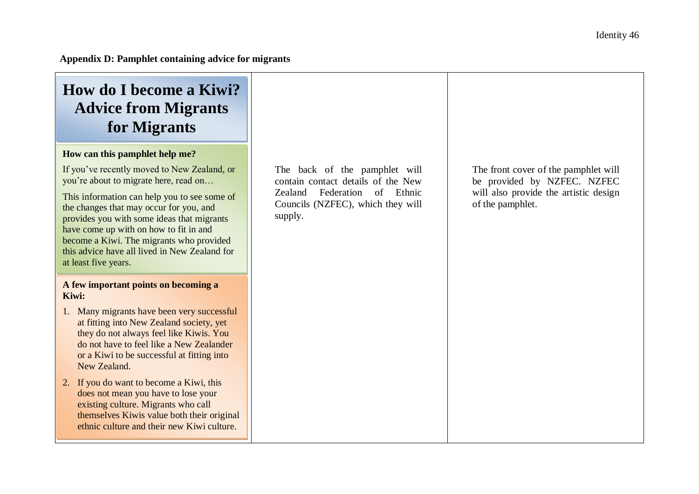# **How do I become a Kiwi? Advice from Migrants for Migrants**

# **How can this pamphlet help me?**

If you"ve recently moved to New Zealand, or you"re about to migrate here, read on…

This information can help you to see some of the changes that may occur for you, and provides you with some ideas that migrants have come up with on how to fit in and become a Kiwi. The migrants who provided this advice have all lived in New Zealand for at least five years.

## **A few important points on becoming a Kiwi:**

- 1. Many migrants have been very successful at fitting into New Zealand society, yet they do not always feel like Kiwis. You do not have to feel like a New Zealander or a Kiwi to be successful at fitting into New Zealand.
- 2. If you do want to become a Kiwi, this does not mean you have to lose your existing culture. Migrants who call themselves Kiwis value both their original ethnic culture and their new Kiwi culture.

The back of the pamphlet will contain contact details of the New Zealand Federation of Ethnic Councils (NZFEC), which they will supply.

The front cover of the pamphlet will be provided by NZFEC. NZFEC will also provide the artistic design of the pamphlet.